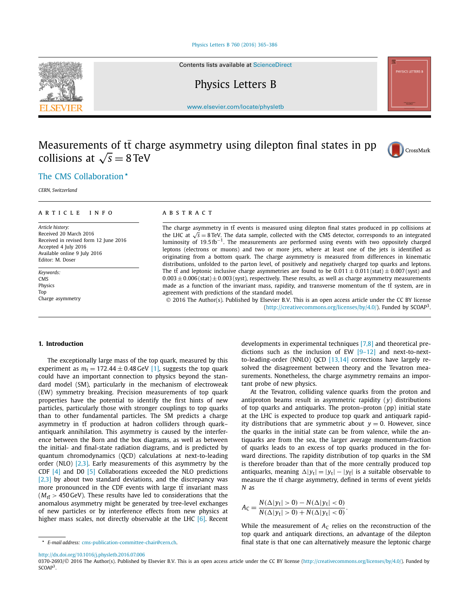#### [Physics Letters B 760 \(2016\) 365–386](http://dx.doi.org/10.1016/j.physletb.2016.07.006)

Contents lists available at [ScienceDirect](http://www.ScienceDirect.com/)

Physics Letters B

[www.elsevier.com/locate/physletb](http://www.elsevier.com/locate/physletb)

# Measurements of  $t\bar{t}$  charge asymmetry using dilepton final states in pp collisions at  $\sqrt{s} = 8$  TeV



# The CMS [Collaboration](#page-6-0)<sup>\*</sup>

*CERN, Switzerland*

#### A R T I C L E I N F O A B S T R A C T

*Article history:* Received 20 March 2016 Received in revised form 12 June 2016 Accepted 4 July 2016 Available online 9 July 2016 Editor: M. Doser

*Keywords:* CMS **Physics** Top Charge asymmetry

The charge asymmetry in tt events is measured using dilepton final states produced in pp collisions at the LHC at  $\sqrt{s}$  = 8 TeV. The data sample, collected with the CMS detector, corresponds to an integrated luminosity of 19*.*5 fb<sup>−</sup>1. The measurements are performed using events with two oppositely charged leptons (electrons or muons) and two or more jets, where at least one of the jets is identified as originating from a bottom quark. The charge asymmetry is measured from differences in kinematic distributions, unfolded to the parton level, of positively and negatively charged top quarks and leptons. The tt and leptonic inclusive charge asymmetries are found to be  $0.011 \pm 0.011$  (stat)  $\pm 0.007$  (syst) and  $0.003 \pm 0.006$  (stat)  $\pm 0.003$  (syst), respectively. These results, as well as charge asymmetry measurements made as a function of the invariant mass, rapidity, and transverse momentum of the tt system, are in agreement with predictions of the standard model.

© 2016 The Author(s). Published by Elsevier B.V. This is an open access article under the CC BY license [\(http://creativecommons.org/licenses/by/4.0/\)](http://creativecommons.org/licenses/by/4.0/). Funded by  $SCOAP<sup>3</sup>$ .

#### **1. Introduction**

The exceptionally large mass of the top quark, measured by this experiment as  $m_t = 172.44 \pm 0.48$  GeV [\[1\],](#page-4-0) suggests the top quark could have an important connection to physics beyond the standard model (SM), particularly in the mechanism of electroweak (EW) symmetry breaking. Precision measurements of top quark properties have the potential to identify the first hints of new particles, particularly those with stronger couplings to top quarks than to other fundamental particles. The SM predicts a charge asymmetry in tt production at hadron colliders through quark– antiquark annihilation. This asymmetry is caused by the interference between the Born and the box diagrams, as well as between the initial- and final-state radiation diagrams, and is predicted by quantum chromodynamics (QCD) calculations at next-to-leading order (NLO)  $[2,3]$ . Early measurements of this asymmetry by the CDF [\[4\]](#page-5-0) and D0 [\[5\]](#page-5-0) Collaborations exceeded the NLO predictions [\[2,3\]](#page-4-0) by about two standard deviations, and the discrepancy was more pronounced in the CDF events with large tt invariant mass ( $M_{\text{tf}} > 450$  GeV). These results have led to considerations that the anomalous asymmetry might be generated by tree-level exchanges of new particles or by interference effects from new physics at higher mass scales, not directly observable at the LHC [\[6\].](#page-5-0) Recent developments in experimental techniques [\[7,8\]](#page-5-0) and theoretical predictions such as the inclusion of EW [\[9–12\]](#page-5-0) and next-to-nextto-leading-order (NNLO) QCD [\[13,14\]](#page-5-0) corrections have largely resolved the disagreement between theory and the Tevatron measurements. Nonetheless, the charge asymmetry remains an important probe of new physics.

At the Tevatron, colliding valence quarks from the proton and antiproton beams result in asymmetric rapidity (*y*) distributions of top quarks and antiquarks. The proton–proton (pp) initial state at the LHC is expected to produce top quark and antiquark rapidity distributions that are symmetric about  $y = 0$ . However, since the quarks in the initial state can be from valence, while the antiquarks are from the sea, the larger average momentum-fraction of quarks leads to an excess of top quarks produced in the forward directions. The rapidity distribution of top quarks in the SM is therefore broader than that of the more centrally produced top antiquarks, meaning  $\Delta |y_t|=|y_t|-|y_{\overline{t}}|$  is a suitable observable to measure the tt charge asymmetry, defined in terms of event yields *N* as

$$
A_{\rm C} = \frac{N(\Delta|y_{\rm t}| > 0) - N(\Delta|y_{\rm t}| < 0)}{N(\Delta|y_{\rm t}| > 0) + N(\Delta|y_{\rm t}| < 0)}.
$$

While the measurement of  $A_C$  relies on the reconstruction of the top quark and antiquark directions, an advantage of the dilepton final state is that one can alternatively measure the leptonic charge



*<sup>-</sup> E-mail address:* [cms-publication-committee-chair@cern.ch](mailto:cms-publication-committee-chair@cern.ch).

<http://dx.doi.org/10.1016/j.physletb.2016.07.006>

<sup>0370-2693/© 2016</sup> The Author(s). Published by Elsevier B.V. This is an open access article under the CC BY license [\(http://creativecommons.org/licenses/by/4.0/](http://creativecommons.org/licenses/by/4.0/)). Funded by SCOAP<sup>3</sup>.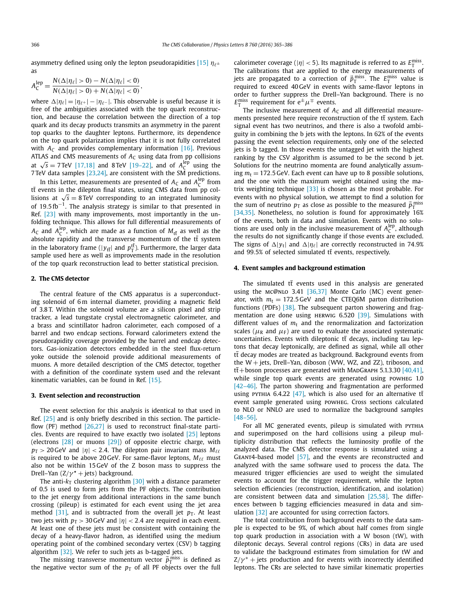<span id="page-1-0"></span>asymmetry defined using only the lepton pseudorapidities  $[15]$   $\eta_{\ell^{\pm}}$ as

*,*

$$
A_C^{\text{lep}} = \frac{N(\Delta|\eta_\ell| > 0) - N(\Delta|\eta_\ell| < 0)}{N(\Delta|\eta_\ell| > 0) + N(\Delta|\eta_\ell| < 0)}
$$

where  $\Delta|\eta_{\ell}|=|\eta_{\ell+}|-|\eta_{\ell-}|$ . This observable is useful because it is free of the ambiguities associated with the top quark reconstruction, and because the correlation between the direction of a top quark and its decay products transmits an asymmetry in the parent top quarks to the daughter leptons. Furthermore, its dependence on the top quark polarization implies that it is not fully correlated with  $A_C$  and provides complementary information [\[16\].](#page-5-0) Previous ATLAS and CMS measurements of  $A<sub>C</sub>$  using data from pp collisions at  $\sqrt{s}$  = 7 TeV [\[17,18\]](#page-5-0) and 8 TeV [\[19–22\],](#page-5-0) and of  $A_C^{lep}$  using the 7 TeV data samples [\[23,24\],](#page-5-0) are consistent with the SM predictions.

In this Letter, measurements are presented of  $A_C$  and  $A_C^{\text{lep}}$  from tt events in the dilepton final states, using CMS data from pp collisions at  $\sqrt{s} = 8$  TeV corresponding to an integrated luminosity of 19*.*5 fb<sup>−</sup>1. The analysis strategy is similar to that presented in Ref. [\[23\]](#page-5-0) with many improvements, most importantly in the unfolding technique. This allows for full differential measurements of  $A_C$  and  $A_C^{\text{lep}}$ , which are made as a function of  $M_{\text{t\bar{t}}}$  as well as the absolute rapidity and the transverse momentum of the tt system in the laboratory frame ( $|y_{t\bar{t}}|$  and  $p_{\bar{T}}^{\text{tt}}$ ). Furthermore, the larger data sample used here as well as improvements made in the resolution of the top quark reconstruction lead to better statistical precision.

#### **2. The CMS detector**

The central feature of the CMS apparatus is a superconducting solenoid of 6 m internal diameter, providing a magnetic field of 3.8 T. Within the solenoid volume are a silicon pixel and strip tracker, a lead tungstate crystal electromagnetic calorimeter, and a brass and scintillator hadron calorimeter, each composed of a barrel and two endcap sections. Forward calorimeters extend the pseudorapidity coverage provided by the barrel and endcap detectors. Gas-ionization detectors embedded in the steel flux-return yoke outside the solenoid provide additional measurements of muons. A more detailed description of the CMS detector, together with a definition of the coordinate system used and the relevant kinematic variables, can be found in Ref. [\[15\].](#page-5-0)

#### **3. Event selection and reconstruction**

The event selection for this analysis is identical to that used in Ref. [\[25\]](#page-5-0) and is only briefly described in this section. The particleflow (PF) method [\[26,27\]](#page-5-0) is used to reconstruct final-state particles. Events are required to have exactly two isolated [\[25\]](#page-5-0) leptons (electrons [\[28\]](#page-5-0) or muons [\[29\]\)](#page-5-0) of opposite electric charge, with  $p_T > 20$  GeV and  $|\eta| < 2.4$ . The dilepton pair invariant mass  $M_{\ell\ell}$ is required to be above 20 GeV. For same-flavor leptons,  $M_{\ell\ell}$  must also not be within 15 GeV of the Z boson mass to suppress the Drell–Yan (Z/ $\gamma^{\star}$  + jets) background.

The anti- $k<sub>T</sub>$  clustering algorithm [\[30\]](#page-5-0) with a distance parameter of 0.5 is used to form jets from the PF objects. The contribution to the jet energy from additional interactions in the same bunch crossing (pileup) is estimated for each event using the jet area method [\[31\],](#page-5-0) and is subtracted from the overall jet  $p<sub>T</sub>$ . At least two jets with  $p_T > 30$  GeV and  $|\eta| < 2.4$  are required in each event. At least one of these jets must be consistent with containing the decay of a heavy-flavor hadron, as identified using the medium operating point of the combined secondary vertex (CSV) b tagging algorithm [\[32\].](#page-5-0) We refer to such jets as b-tagged jets.

The missing transverse momentum vector  $\vec{p}_{\rm T}^{\rm \;miss}$  is defined as the negative vector sum of the  $p<sub>T</sub>$  of all PF objects over the full calorimeter coverage ( $|\eta|$  < 5). Its magnitude is referred to as  $E_{\text{T}}^{\text{miss}}$ . The calibrations that are applied to the energy measurements of jets are propagated to a correction of  $\vec{p}_{\rm T}^{\rm~miss}$ . The  $E_{\rm T}^{\rm miss}$  value is required to exceed 40 GeV in events with same-flavor leptons in order to further suppress the Drell–Yan background. There is no  $E_{\text{T}}^{\text{miss}}$  requirement for  $e^{\pm}\mu^{\mp}$  events.

The inclusive measurement of  $A_C$  and all differential measurements presented here require reconstruction of the tt system. Each signal event has two neutrinos, and there is also a twofold ambiguity in combining the b jets with the leptons. In 62% of the events passing the event selection requirements, only one of the selected jets is b tagged. In those events the untagged jet with the highest ranking by the CSV algorithm is assumed to be the second b jet. Solutions for the neutrino momenta are found analytically assuming  $m<sub>t</sub> = 172.5$  GeV. Each event can have up to 8 possible solutions, and the one with the maximum weight obtained using the matrix weighting technique  $\left[33\right]$  is chosen as the most probable. For events with no physical solution, we attempt to find a solution for the sum of neutrino  $p<sub>T</sub>$  as close as possible to the measured  $\vec{p}_{T}^{\text{miss}}$ [\[34,35\].](#page-5-0) Nonetheless, no solution is found for approximately 16% of the events, both in data and simulation. Events with no solutions are used only in the inclusive measurement of  $A_C^{\text{lep}}$ , although the results do not significantly change if those events are excluded. The signs of  $\Delta |y_t|$  and  $\Delta |\eta_\ell|$  are correctly reconstructed in 74.9% and 99.5% of selected simulated tt events, respectively.

#### **4. Event samples and background estimation**

The simulated  $t\bar{t}$  events used in this analysis are generated using the mc@nlo 3.41 [\[36,37\]](#page-5-0) Monte Carlo (MC) event generator, with  $m_t = 172.5$  GeV and the CTEQ6M parton distribution functions (PDFs) [\[38\].](#page-5-0) The subsequent parton showering and frag-mentation are done using HERWIG 6.520 [\[39\].](#page-5-0) Simulations with different values of  $m_t$  and the renormalization and factorization scales ( $\mu_R$  and  $\mu_F$ ) are used to evaluate the associated systematic uncertainties. Events with dileptonic tt decays, including tau leptons that decay leptonically, are defined as signal, while all other tt decay modes are treated as background. Background events from the  $W +$  jets, Drell–Yan, diboson (WW, WZ, and ZZ), triboson, and  $t\bar{t}$ +boson processes are generated with MADGRAPH 5.1.3.30 [\[40,41\],](#page-5-0) while single top quark events are generated using powheg 1.0 [\[42–46\].](#page-5-0) The parton showering and fragmentation are performed using PYTHIA 6.4.22 [\[47\],](#page-5-0) which is also used for an alternative tt event sample generated using powheg. Cross sections calculated to NLO or NNLO are used to normalize the background samples [\[48–56\].](#page-5-0)

For all MC generated events, pileup is simulated with PYTHIA and superimposed on the hard collisions using a pileup multiplicity distribution that reflects the luminosity profile of the analyzed data. The CMS detector response is simulated using a GEANT4-based model [\[57\],](#page-6-0) and the events are reconstructed and analyzed with the same software used to process the data. The measured trigger efficiencies are used to weight the simulated events to account for the trigger requirement, while the lepton selection efficiencies (reconstruction, identification, and isolation) are consistent between data and simulation [\[25,58\].](#page-5-0) The differences between b tagging efficiencies measured in data and simulation [\[32\]](#page-5-0) are accounted for using correction factors.

The total contribution from background events to the data sample is expected to be 9%, of which about half comes from single top quark production in association with a W boson (tW), with dileptonic decays. Several control regions (CRs) in data are used to validate the background estimates from simulation for tW and  $Z/\gamma^*$  + jets production and for events with incorrectly identified leptons. The CRs are selected to have similar kinematic properties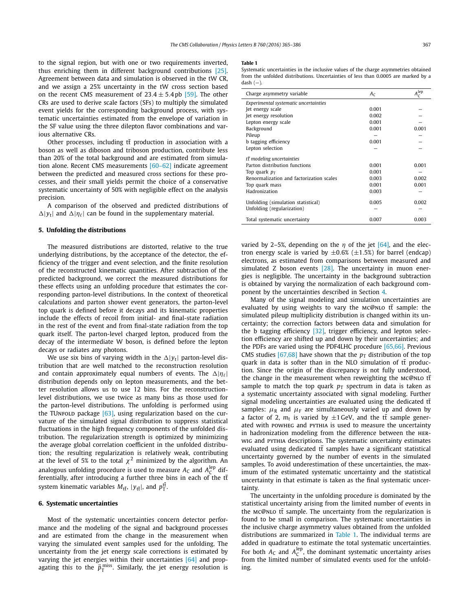to the signal region, but with one or two requirements inverted, thus enriching them in different background contributions [\[25\].](#page-5-0) Agreement between data and simulation is observed in the tW CR, and we assign a 25% uncertainty in the tW cross section based on the recent CMS measurement of  $23.4 \pm 5.4$  pb [\[59\].](#page-6-0) The other CRs are used to derive scale factors (SFs) to multiply the simulated event yields for the corresponding background process, with systematic uncertainties estimated from the envelope of variation in the SF value using the three dilepton flavor combinations and various alternative CRs.

Other processes, including tt production in association with a boson as well as diboson and triboson production, contribute less than 20% of the total background and are estimated from simulation alone. Recent CMS measurements [\[60–62\]](#page-6-0) indicate agreement between the predicted and measured cross sections for these processes, and their small yields permit the choice of a conservative systematic uncertainty of 50% with negligible effect on the analysis precision.

A comparison of the observed and predicted distributions of  $\Delta |y_t|$  and  $\Delta |y_\ell|$  can be found in the supplementary material.

#### **5. Unfolding the distributions**

The measured distributions are distorted, relative to the true underlying distributions, by the acceptance of the detector, the efficiency of the trigger and event selection, and the finite resolution of the reconstructed kinematic quantities. After subtraction of the predicted background, we correct the measured distributions for these effects using an unfolding procedure that estimates the corresponding parton-level distributions. In the context of theoretical calculations and parton shower event generators, the parton-level top quark is defined before it decays and its kinematic properties include the effects of recoil from initial- and final-state radiation in the rest of the event and from final-state radiation from the top quark itself. The parton-level charged lepton, produced from the decay of the intermediate W boson, is defined before the lepton decays or radiates any photons.

We use six bins of varying width in the  $\Delta |y_t|$  parton-level distribution that are well matched to the reconstruction resolution and contain approximately equal numbers of events. The  $\Delta |n_\ell|$ distribution depends only on lepton measurements, and the better resolution allows us to use 12 bins. For the reconstructionlevel distributions, we use twice as many bins as those used for the parton-level distributions. The unfolding is performed using the TUNFOLD package  $[63]$ , using regularization based on the curvature of the simulated signal distribution to suppress statistical fluctuations in the high frequency components of the unfolded distribution. The regularization strength is optimized by minimizing the average global correlation coefficient in the unfolded distribution; the resulting regularization is relatively weak, contributing at the level of 5% to the total  $\chi^2$  minimized by the algorithm. An analogous unfolding procedure is used to measure  $A_C$  and  $A_C^{\text{lep}}$  differentially, after introducing a further three bins in each of the tt system kinematic variables  $M_{\rm t\bar t}$ ,  $|y_{\rm t\bar t}|$ , and  $p_{\rm T}^{\rm tt}$ .

#### **6. Systematic uncertainties**

Most of the systematic uncertainties concern detector performance and the modeling of the signal and background processes and are estimated from the change in the measurement when varying the simulated event samples used for the unfolding. The uncertainty from the jet energy scale corrections is estimated by varying the jet energies within their uncertainties [\[64\]](#page-6-0) and propagating this to the  $\vec{p}_{\rm T}^{\rm~miss.}$  Similarly, the jet energy resolution is

#### **Table 1**

Systematic uncertainties in the inclusive values of the charge asymmetries obtained from the unfolded distributions. Uncertainties of less than 0.0005 are marked by a dash  $(-)$ 

| Charge asymmetry variable                | Ac    | $A_C^{lep}$ |
|------------------------------------------|-------|-------------|
| Experimental systematic uncertainties    |       |             |
| Jet energy scale                         | 0.001 |             |
| Jet energy resolution                    | 0.002 |             |
| Lepton energy scale                      | 0.001 |             |
| Background                               | 0.001 | 0.001       |
| Pileup                                   |       |             |
| b tagging efficiency                     | 0.001 |             |
| Lepton selection                         |       |             |
| tt modeling uncertainties                |       |             |
| Parton distribution functions            | 0.001 | 0.001       |
| Top quark p <sub>T</sub>                 | 0.001 |             |
| Renormalization and factorization scales | 0.003 | 0.002       |
| Top quark mass                           | 0.001 | 0.001       |
| Hadronization                            | 0.003 |             |
| Unfolding (simulation statistical)       | 0.005 | 0.002       |
| Unfolding (regularization)               |       |             |
| Total systematic uncertainty             | 0.007 | 0.003       |

varied by 2–5%, depending on the  $\eta$  of the jet [\[64\],](#page-6-0) and the electron energy scale is varied by  $\pm 0.6\%$  ( $\pm 1.5\%$ ) for barrel (endcap) electrons, as estimated from comparisons between measured and simulated Z boson events [\[28\].](#page-5-0) The uncertainty in muon energies is negligible. The uncertainty in the background subtraction is obtained by varying the normalization of each background component by the uncertainties described in Section [4.](#page-1-0)

Many of the signal modeling and simulation uncertainties are evaluated by using weights to vary the MC@NLO tt sample: the simulated pileup multiplicity distribution is changed within its uncertainty; the correction factors between data and simulation for the b tagging efficiency [\[32\],](#page-5-0) trigger efficiency, and lepton selection efficiency are shifted up and down by their uncertainties; and the PDFs are varied using the PDF4LHC procedure [\[65,66\].](#page-6-0) Previous CMS studies  $[67,68]$  have shown that the  $p_T$  distribution of the top quark in data is softer than in the NLO simulation of tt production. Since the origin of the discrepancy is not fully understood, the change in the measurement when reweighting the MC@NLO tt sample to match the top quark  $p_T$  spectrum in data is taken as a systematic uncertainty associated with signal modeling. Further signal modeling uncertainties are evaluated using the dedicated tt samples:  $\mu_R$  and  $\mu_F$  are simultaneously varied up and down by a factor of 2,  $m_t$  is varied by  $\pm 1$  GeV, and the tt sample generated with powheg and pythia is used to measure the uncertainty in hadronization modeling from the difference between the herwig and pythia descriptions. The systematic uncertainty estimates evaluated using dedicated tt samples have a significant statistical uncertainty governed by the number of events in the simulated samples. To avoid underestimation of these uncertainties, the maximum of the estimated systematic uncertainty and the statistical uncertainty in that estimate is taken as the final systematic uncertainty.

The uncertainty in the unfolding procedure is dominated by the statistical uncertainty arising from the limited number of events in the MC@NLO tt sample. The uncertainty from the regularization is found to be small in comparison. The systematic uncertainties in the inclusive charge asymmetry values obtained from the unfolded distributions are summarized in Table 1. The individual terms are added in quadrature to estimate the total systematic uncertainties. For both  $A_C$  and  $A_C^{lep}$ , the dominant systematic uncertainty arises from the limited number of simulated events used for the unfolding.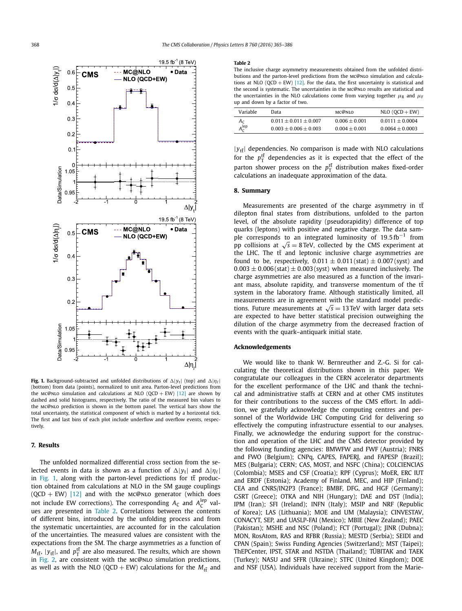

**Fig. 1.** Background-subtracted and unfolded distributions of  $\Delta |y_t|$  (top) and  $\Delta | \eta_\ell|$ (bottom) from data (points), normalized to unit area. Parton-level predictions from the MC@NLO simulation and calculations at NLO (QCD + EW) [\[12\]](#page-5-0) are shown by dashed and solid histograms, respectively. The ratio of the measured bin values to the mc@nlo prediction is shown in the bottom panel. The vertical bars show the total uncertainty, the statistical component of which is marked by a horizontal tick. The first and last bins of each plot include underflow and overflow events, respectively.

#### **7. Results**

The unfolded normalized differential cross section from the selected events in data is shown as a function of  $\Delta |v_t|$  and  $\Delta |n_\ell|$ in Fig. 1, along with the parton-level predictions for  $t\bar{t}$  production obtained from calculations at NLO in the SM gauge couplings  $(QCD + EW)$  [\[12\]](#page-5-0) and with the MC@NLO generator (which does not include EW corrections). The corresponding  $A_C$  and  $A_C^{lep}$  values are presented in Table 2. Correlations between the contents of different bins, introduced by the unfolding process and from the systematic uncertainties, are accounted for in the calculation of the uncertainties. The measured values are consistent with the expectations from the SM. The charge asymmetries as a function of  $M_{\tilde{\text{t}\tilde{\text{t}}}}$  |  $y_{\tilde{\text{t}\tilde{\text{t}}}}$ |, and  $p_{\text{T}}^{\text{tt}}$  are also measured. The results, which are shown in [Fig. 2,](#page-4-0) are consistent with the MC@NLO simulation predictions, as well as with the NLO (QCD + EW) calculations for the  $M_{\text{tf}}$  and

#### **Table 2**

The inclusive charge asymmetry measurements obtained from the unfolded distributions and the parton-level predictions from the MC@NLO simulation and calcula-tions at NLO (QCD + EW) [\[12\].](#page-5-0) For the data, the first uncertainty is statistical and the second is systematic. The uncertainties in the MC@NLO results are statistical and the uncertainties in the NLO calculations come from varying together  $\mu_R$  and  $\mu_F$ up and down by a factor of two.

|             |                         |                 | $NLO$ (OCD + EW)  |
|-------------|-------------------------|-----------------|-------------------|
| Ac          | $0.011 + 0.011 + 0.007$ | $0.006 + 0.001$ | $0.0111 + 0.0004$ |
| $A_C^{lep}$ | $0.003 + 0.006 + 0.003$ | $0.004 + 0.001$ | $0.0064 + 0.0003$ |

 $|y_{\text{tf}}|$  dependencies. No comparison is made with NLO calculations for the  $p_T^{\text{tt}}$  dependencies as it is expected that the effect of the parton shower process on the  $p_T^{\text{tt}}$  distribution makes fixed-order calculations an inadequate approximation of the data.

#### **8. Summary**

Measurements are presented of the charge asymmetry in tt dilepton final states from distributions, unfolded to the parton level, of the absolute rapidity (pseudorapidity) difference of top quarks (leptons) with positive and negative charge. The data sample corresponds to an integrated luminosity of 19*.*5 fb−<sup>1</sup> from pp collisions at  $\sqrt{s} = 8$  TeV, collected by the CMS experiment at the LHC. The tt and leptonic inclusive charge asymmetries are found to be, respectively,  $0.011 \pm 0.011$  (stat)  $\pm 0.007$  (syst) and  $0.003 \pm 0.006$  (stat)  $\pm 0.003$  (syst) when measured inclusively. The charge asymmetries are also measured as a function of the invariant mass, absolute rapidity, and transverse momentum of the tt system in the laboratory frame. Although statistically limited, all measurements are in agreement with the standard model predictions. Future measurements at  $\sqrt{s} = 13$  TeV with larger data sets are expected to have better statistical precision outweighing the dilution of the charge asymmetry from the decreased fraction of events with the quark–antiquark initial state.

#### **Acknowledgements**

We would like to thank W. Bernreuther and Z.-G. Si for calculating the theoretical distributions shown in this paper. We congratulate our colleagues in the CERN accelerator departments for the excellent performance of the LHC and thank the technical and administrative staffs at CERN and at other CMS institutes for their contributions to the success of the CMS effort. In addition, we gratefully acknowledge the computing centres and personnel of the Worldwide LHC Computing Grid for delivering so effectively the computing infrastructure essential to our analyses. Finally, we acknowledge the enduring support for the construction and operation of the LHC and the CMS detector provided by the following funding agencies: BMWFW and FWF (Austria); FNRS and FWO (Belgium); CNPq, CAPES, FAPERJ, and FAPESP (Brazil); MES (Bulgaria); CERN; CAS, MOST, and NSFC (China); COLCIENCIAS (Colombia); MSES and CSF (Croatia); RPF (Cyprus); MoER, ERC IUT and ERDF (Estonia); Academy of Finland, MEC, and HIP (Finland); CEA and CNRS/IN2P3 (France); BMBF, DFG, and HGF (Germany); GSRT (Greece); OTKA and NIH (Hungary); DAE and DST (India); IPM (Iran); SFI (Ireland); INFN (Italy); MSIP and NRF (Republic of Korea); LAS (Lithuania); MOE and UM (Malaysia); CINVESTAV, CONACYT, SEP, and UASLP-FAI (Mexico); MBIE (New Zealand); PAEC (Pakistan); MSHE and NSC (Poland); FCT (Portugal); JINR (Dubna); MON, RosAtom, RAS and RFBR (Russia); MESTD (Serbia); SEIDI and CPAN (Spain); Swiss Funding Agencies (Switzerland); MST (Taipei); ThEPCenter, IPST, STAR and NSTDA (Thailand); TÜBITAK and TAEK (Turkey); NASU and SFFR (Ukraine); STFC (United Kingdom); DOE and NSF (USA). Individuals have received support from the Marie-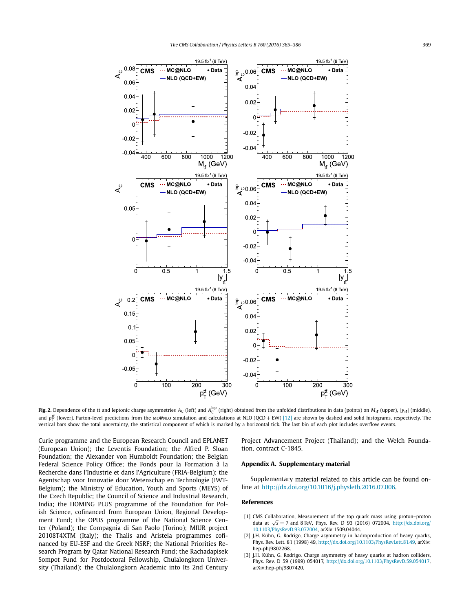<span id="page-4-0"></span>

**Fig. 2.** Dependence of the tt and leptonic charge asymmetries  $A_C$  (left) and  $A_C^{\text{lep}}$  (right) obtained from the unfolded distributions in data (points) on  $M_{t\bar{t}}$  (upper),  $|y_{t\bar{t}}|$  (middle), and  $p_{\rm T}^{\rm tt}$  (lower). Parton-level predictions from the MC@NLO simulation and calculations at NLO (QCD + EW) [\[12\]](#page-5-0) are shown by dashed and solid histograms, respectively. The vertical bars show the total uncertainty, the statistical component of which is marked by a horizontal tick. The last bin of each plot includes overflow events.

Curie programme and the European Research Council and EPLANET (European Union); the Leventis Foundation; the Alfred P. Sloan Foundation; the Alexander von Humboldt Foundation; the Belgian Federal Science Policy Office; the Fonds pour la Formation à la Recherche dans l'Industrie et dans l'Agriculture (FRIA-Belgium); the Agentschap voor Innovatie door Wetenschap en Technologie (IWT-Belgium); the Ministry of Education, Youth and Sports (MEYS) of the Czech Republic; the Council of Science and Industrial Research, India; the HOMING PLUS programme of the Foundation for Polish Science, cofinanced from European Union, Regional Development Fund; the OPUS programme of the National Science Center (Poland); the Compagnia di San Paolo (Torino); MIUR project 20108T4XTM (Italy); the Thalis and Aristeia programmes cofinanced by EU-ESF and the Greek NSRF; the National Priorities Research Program by Qatar National Research Fund; the Rachadapisek Sompot Fund for Postdoctoral Fellowship, Chulalongkorn University (Thailand); the Chulalongkorn Academic into Its 2nd Century Project Advancement Project (Thailand); and the Welch Foundation, contract C-1845.

#### **Appendix A. Supplementary material**

Supplementary material related to this article can be found online at <http://dx.doi.org/10.1016/j.physletb.2016.07.006>.

#### **References**

- [1] CMS Collaboration, Measurement of the top quark mass using proton–proton data at  $\sqrt{s}$  = 7 and 8 TeV, Phys. Rev. D 93 (2016) 072004, [http://dx.doi.org/](http://dx.doi.org/10.1103/PhysRevD.93.072004) [10.1103/PhysRevD.93.072004,](http://dx.doi.org/10.1103/PhysRevD.93.072004) arXiv:1509.04044.
- [2] J.H. Kühn, G. Rodrigo, Charge asymmetry in hadroproduction of heavy quarks, Phys. Rev. Lett. 81 (1998) 49, [http://dx.doi.org/10.1103/PhysRevLett.81.49,](http://dx.doi.org/10.1103/PhysRevLett.81.49) arXiv: hep-ph/9802268.
- [3] J.H. Kühn, G. Rodrigo, Charge asymmetry of heavy quarks at hadron colliders, Phys. Rev. D 59 (1999) 054017, [http://dx.doi.org/10.1103/PhysRevD.59.054017,](http://dx.doi.org/10.1103/PhysRevD.59.054017) arXiv:hep-ph/9807420.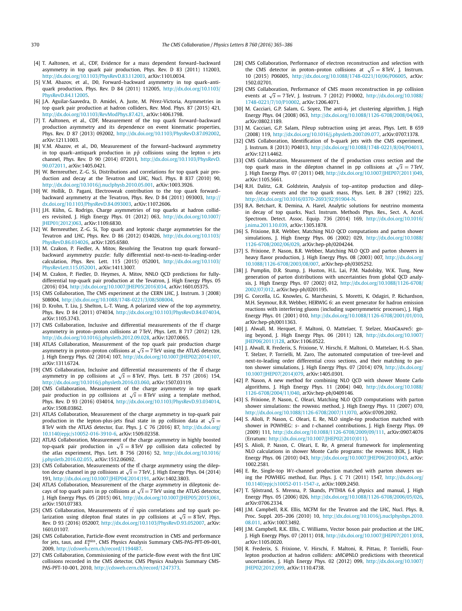- <span id="page-5-0"></span>[4] T. Aaltonen, et al., CDF, Evidence for a mass dependent forward–backward asymmetry in top quark pair production, Phys. Rev. D 83 (2011) 112003, [http://dx.doi.org/10.1103/PhysRevD.83.112003,](http://dx.doi.org/10.1103/PhysRevD.83.112003) arXiv:1101.0034.
- [5] V.M. Abazov, et al., D0, Forward–backward asymmetry in top quark–antiquark production, Phys. Rev. D 84 (2011) 112005, [http://dx.doi.org/10.1103/](http://dx.doi.org/10.1103/PhysRevD.84.112005) [PhysRevD.84.112005](http://dx.doi.org/10.1103/PhysRevD.84.112005).
- [6] J.A. Aguilar-Saavedra, D. Amidei, A. Juste, M. Pérez-Victoria, Asymmetries in top quark pair production at hadron colliders, Rev. Mod. Phys. 87 (2015) 421, [http://dx.doi.org/10.1103/RevModPhys.87.421,](http://dx.doi.org/10.1103/RevModPhys.87.421) arXiv:1406.1798.
- [7] T. Aaltonen, et al., CDF, Measurement of the top quark forward–backward production asymmetry and its dependence on event kinematic properties, Phys. Rev. D 87 (2013) 092002, <http://dx.doi.org/10.1103/PhysRevD.87.092002>, arXiv:1211.1003.
- [8] V.M. Abazov, et al., D0, Measurement of the forward–backward asymmetry in top quark–antiquark production in  $p\bar{p}$  collisions using the lepton  $+$  jets channel, Phys. Rev. D 90 (2014) 072011, [http://dx.doi.org/10.1103/PhysRevD.](http://dx.doi.org/10.1103/PhysRevD.90.072011) [90.072011,](http://dx.doi.org/10.1103/PhysRevD.90.072011) arXiv:1405.0421.
- [9] W. Bernreuther, Z.-G. Si, Distributions and correlations for top quark pair production and decay at the Tevatron and LHC, Nucl. Phys. B 837 (2010) 90, <http://dx.doi.org/10.1016/j.nuclphysb.2010.05.001>, arXiv:1003.3926.
- [10] W. Hollik, D. Pagani, Electroweak contribution to the top quark forwardbackward asymmetry at the Tevatron, Phys. Rev. D 84 (2011) 093003, [http://](http://dx.doi.org/10.1103/PhysRevD.84.093003) [dx.doi.org/10.1103/PhysRevD.84.093003](http://dx.doi.org/10.1103/PhysRevD.84.093003), arXiv:1107.2606.
- [11] J.H. Kühn, G. Rodrigo, Charge asymmetries of top quarks at hadron colliders revisited, J. High Energy Phys. 01 (2012) 063, [http://dx.doi.org/10.1007/](http://dx.doi.org/10.1007/JHEP01(2012)063) [JHEP01\(2012\)063](http://dx.doi.org/10.1007/JHEP01(2012)063), arXiv:1109.6830.
- [12] W. Bernreuther, Z.-G. Si, Top quark and leptonic charge asymmetries for the Tevatron and LHC, Phys. Rev. D 86 (2012) 034026, [http://dx.doi.org/10.1103/](http://dx.doi.org/10.1103/PhysRevD.86.034026) [PhysRevD.86.034026,](http://dx.doi.org/10.1103/PhysRevD.86.034026) arXiv:1205.6580.
- [13] M. Czakon, P. Fiedler, A. Mitov, Resolving the Tevatron top quark forwardbackward asymmetry puzzle: fully differential next-to-next-to-leading-order calculation, Phys. Rev. Lett. 115 (2015) 052001, [http://dx.doi.org/10.1103/](http://dx.doi.org/10.1103/PhysRevLett.115.052001) [PhysRevLett.115.052001](http://dx.doi.org/10.1103/PhysRevLett.115.052001), arXiv:1411.3007.
- [14] M. Czakon, P. Fiedler, D. Heymes, A. Mitov, NNLO OCD predictions for fullydifferential top-quark pair production at the Tevatron, J. High Energy Phys. 05 (2016) 034, [http://dx.doi.org/10.1007/JHEP05\(2016\)034,](http://dx.doi.org/10.1007/JHEP05(2016)034) arXiv:1601.05375.
- [15] CMS Collaboration, The CMS experiment at the CERN LHC, J. Instrum. 3 (2008) S08004, <http://dx.doi.org/10.1088/1748-0221/3/08/S08004>.
- [16] D. Krohn, T. Liu, J. Shelton, L.-T. Wang, A polarized view of the top asymmetry, Phys. Rev. D 84 (2011) 074034, <http://dx.doi.org/10.1103/PhysRevD.84.074034>, arXiv:1105.3743.
- [17] CMS Collaboration, Inclusive and differential measurements of the  $t\bar{t}$  charge asymmetry in proton–proton collisions at 7 TeV, Phys. Lett. B 717 (2012) 129, <http://dx.doi.org/10.1016/j.physletb.2012.09.028>, arXiv:1207.0065.
- [18] ATLAS Collaboration, Measurement of the top quark pair production charge asymmetry in proton–proton collisions at  $\sqrt{s}$  = 7 TeV using the ATLAS detector, J. High Energy Phys. 02 (2014) 107, [http://dx.doi.org/10.1007/JHEP02\(2014\)107](http://dx.doi.org/10.1007/JHEP02(2014)107), arXiv:1311.6724.
- [19] CMS Collaboration, Inclusive and differential measurements of the  $t\bar{t}$  charge asymmetry in pp collisions at  $\sqrt{s} = 8$  TeV, Phys. Lett. B 757 (2016) 154, <http://dx.doi.org/10.1016/j.physletb.2016.03.060>, arXiv:1507.03119.
- [20] CMS Collaboration, Measurement of the charge asymmetry in top quark pair production in pp collisions at  $\sqrt{s} = 8 \text{ TeV}$  using a template method, Phys. Rev. D 93 (2016) 034014, <http://dx.doi.org/10.1103/PhysRevD.93.034014>, arXiv:1508.03862.
- [21] ATLAS Collaboration, Measurement of the charge asymmetry in top-quark pair production in the lepton-plus-jets final state in pp collision data at  $\sqrt{s}$  = 8 TeV with the ATLAS detector, Eur. Phys. J. C 76 (2016) 87, [http://dx.doi.org/](http://dx.doi.org/10.1140/epjc/s10052-016-3910-6) [10.1140/epjc/s10052-016-3910-6,](http://dx.doi.org/10.1140/epjc/s10052-016-3910-6) arXiv:1509.02358.
- [22] ATLAS Collaboration, Measurement of the charge asymmetry in highly boosted top-quark pair production in  $\sqrt{s} = 8$  TeV pp collision data collected by the atlas experiment, Phys. Lett. B 756 (2016) 52, [http://dx.doi.org/10.1016/](http://dx.doi.org/10.1016/j.physletb.2016.02.055) [j.physletb.2016.02.055,](http://dx.doi.org/10.1016/j.physletb.2016.02.055) arXiv:1512.06092.
- [23] CMS Collaboration, Measurements of the tt charge asymmetry using the dilepton decay channel in pp collisions at  $\sqrt{s}$  = 7 TeV, J. High Energy Phys. 04 (2014) 191, [http://dx.doi.org/10.1007/JHEP04\(2014\)191](http://dx.doi.org/10.1007/JHEP04(2014)191), arXiv:1402.3803.
- [24] ATLAS Collaboration, Measurement of the charge asymmetry in dileptonic decays of top quark pairs in pp collisions at  $\sqrt{s}$  = 7 TeV using the ATLAS detector, J. High Energy Phys. 05 (2015) 061, [http://dx.doi.org/10.1007/JHEP05\(2015\)061](http://dx.doi.org/10.1007/JHEP05(2015)061), arXiv:1501.07383.
- [25] CMS Collaboration, Measurements of  $t\bar{t}$  spin correlations and top quark polarization using dilepton final states in *pp* collisions at  $\sqrt{s} = 8$  TeV, Phys. Rev. D 93 (2016) 052007, <http://dx.doi.org/10.1103/PhysRevD.93.052007>, arXiv: 1601.01107.
- [26] CMS Collaboration, Particle-flow event reconstruction in CMS and performance for jets, taus, and  $E_{\rm T}^{\rm miss}$ , CMS Physics Analysis Summary CMS-PAS-PFT-09-001, 2009, <http://cdsweb.cern.ch/record/1194487>.
- [27] CMS Collaboration, Commissioning of the particle-flow event with the first LHC collisions recorded in the CMS detector, CMS Physics Analysis Summary CMS-PAS-PFT-10-001, 2010, <http://cdsweb.cern.ch/record/1247373>.
- [28] CMS Collaboration, Performance of electron reconstruction and selection with the CMS detector in proton–proton collisions at  $\sqrt{s} = 8$  TeV, J. Instrum. 10 (2015) P06005, [http://dx.doi.org/10.1088/1748-0221/10/06/P06005,](http://dx.doi.org/10.1088/1748-0221/10/06/P06005) arXiv: 1502.02701.
- [29] CMS Collaboration, Performance of CMS muon reconstruction in pp collision events at <sup>√</sup>*<sup>s</sup>* <sup>=</sup> <sup>7</sup> TeV, J. Instrum. <sup>7</sup> (2012) P10002, [http://dx.doi.org/10.1088/](http://dx.doi.org/10.1088/1748-0221/7/10/P10002) [1748-0221/7/10/P10002](http://dx.doi.org/10.1088/1748-0221/7/10/P10002), arXiv:1206.4071.
- [30] M. Cacciari, G.P. Salam, G. Soyez, The anti-*kt* jet clustering algorithm, J. High Energy Phys. 04 (2008) 063, <http://dx.doi.org/10.1088/1126-6708/2008/04/063>, arXiv:0802.1189.
- [31] M. Cacciari, G.P. Salam, Pileup subtraction using jet areas, Phys. Lett. B 659 (2008) 119, <http://dx.doi.org/10.1016/j.physletb.2007.09.077>, arXiv:0707.1378.
- [32] CMS Collaboration, Identification of b-quark jets with the CMS experiment, J. Instrum. 8 (2013) P04013, <http://dx.doi.org/10.1088/1748-0221/8/04/P04013>, arXiv:1211.4462.
- [33] CMS Collaboration, Measurement of the  $t\bar{t}$  production cross section and the top quark mass in the dilepton channel in pp collisions at  $\sqrt{s} = 7$  TeV, J. High Energy Phys. 07 (2011) 049, [http://dx.doi.org/10.1007/JHEP07\(2011\)049](http://dx.doi.org/10.1007/JHEP07(2011)049), arXiv:1105.5661.
- [34] R.H. Dalitz, G.R. Goldstein, Analysis of top-antitop production and dilepton decay events and the top quark mass, Phys. Lett. B 287 (1992) 225, [http://dx.doi.org/10.1016/0370-2693\(92\)91904-N](http://dx.doi.org/10.1016/0370-2693(92)91904-N).
- [35] B.A. Betchart, R. Demina, A. Harel, Analytic solutions for neutrino momenta in decay of top quarks, Nucl. Instrum. Methods Phys. Res., Sect. A, Accel. Spectrom. Detect. Assoc. Equip. 736 (2014) 169, [http://dx.doi.org/10.1016/](http://dx.doi.org/10.1016/j.nima.2013.10.039) [j.nima.2013.10.039](http://dx.doi.org/10.1016/j.nima.2013.10.039), arXiv:1305.1878.
- [36] S. Frixione, B.R. Webber, Matching NLO QCD computations and parton shower simulations, J. High Energy Phys. 06 (2002) 029, [http://dx.doi.org/10.1088/](http://dx.doi.org/10.1088/1126-6708/2002/06/029) [1126-6708/2002/06/029](http://dx.doi.org/10.1088/1126-6708/2002/06/029), arXiv:hep-ph/0204244.
- [37] S. Frixione, P. Nason, B.R. Webber, Matching NLO QCD and parton showers in heavy flavor production, J. High Energy Phys. 08 (2003) 007, [http://dx.doi.org/](http://dx.doi.org/10.1088/1126-6708/2003/08/007) [10.1088/1126-6708/2003/08/007,](http://dx.doi.org/10.1088/1126-6708/2003/08/007) arXiv:hep-ph/0305252.
- [38] J. Pumplin, D.R. Stump, J. Huston, H.L. Lai, P.M. Nadolsky, W.K. Tung, New generation of parton distributions with uncertainties from global QCD analysis, J. High Energy Phys. 07 (2002) 012, [http://dx.doi.org/10.1088/1126-6708/](http://dx.doi.org/10.1088/1126-6708/2002/07/012) [2002/07/012](http://dx.doi.org/10.1088/1126-6708/2002/07/012), arXiv:hep-ph/0201195.
- [39] G. Corcella, I.G. Knowles, G. Marchesini, S. Moretti, K. Odagiri, P. Richardson, M.H. Seymour, B.R. Webber, HERWIG 6: an event generator for hadron emission reactions with interfering gluons (including supersymmetric processes), J. High Energy Phys. 01 (2001) 010, <http://dx.doi.org/10.1088/1126-6708/2001/01/010>, arXiv:hep-ph/0011363.
- [40] J. Alwall, M. Herquet, F. Maltoni, O. Mattelaer, T. Stelzer, MADGRAPH5: going beyond, J. High Energy Phys. 06 (2011) 128, [http://dx.doi.org/10.1007/](http://dx.doi.org/10.1007/JHEP06(2011)128) [JHEP06\(2011\)128](http://dx.doi.org/10.1007/JHEP06(2011)128), arXiv:1106.0522.
- [41] J. Alwall, R. Frederix, S. Frixione, V. Hirschi, F. Maltoni, O. Mattelaer, H.-S. Shao, T. Stelzer, P. Torrielli, M. Zaro, The automated computation of tree-level and next-to-leading order differential cross sections, and their matching to parton shower simulations, J. High Energy Phys. 07 (2014) 079, [http://dx.doi.org/](http://dx.doi.org/10.1007/JHEP07(2014)079) [10.1007/JHEP07\(2014\)079,](http://dx.doi.org/10.1007/JHEP07(2014)079) arXiv:1405.0301.
- [42] P. Nason, A new method for combining NLO QCD with shower Monte Carlo algorithms, J. High Energy Phys. 11 (2004) 040, [http://dx.doi.org/10.1088/](http://dx.doi.org/10.1088/1126-6708/2004/11/040) [1126-6708/2004/11/040](http://dx.doi.org/10.1088/1126-6708/2004/11/040), arXiv:hep-ph/0409146.
- [43] S. Frixione, P. Nason, C. Oleari, Matching NLO QCD computations with parton shower simulations: the powheg method, J. High Energy Phys. 11 (2007) 070, <http://dx.doi.org/10.1088/1126-6708/2007/11/070>, arXiv:0709.2092.
- [44] S. Alioli, P. Nason, C. Oleari, E. Re, NLO single-top production matched with shower in POWHEG: *s*- and *t*-channel contributions, J. High Energy Phys. 09 (2009) 111, [http://dx.doi.org/10.1088/1126-6708/2009/09/111,](http://dx.doi.org/10.1088/1126-6708/2009/09/111) arXiv:0907.4076 (Erratum: [http://dx.doi.org/10.1007/JHEP02\(2010\)011](http://dx.doi.org/10.1007/JHEP02(2010)011)).
- [45] S. Alioli, P. Nason, C. Oleari, E. Re, A general framework for implementing NLO calculations in shower Monte Carlo programs: the powheg BOX, J. High Energy Phys. 06 (2010) 043, [http://dx.doi.org/10.1007/JHEP06\(2010\)043](http://dx.doi.org/10.1007/JHEP06(2010)043), arXiv: 1002.2581.
- [46] E. Re, Single-top *Wt*-channel production matched with parton showers using the POWHEG method, Eur. Phys. J. C 71 (2011) 1547, [http://dx.doi.org/](http://dx.doi.org/10.1140/epjc/s10052-011-1547-z) [10.1140/epjc/s10052-011-1547-z](http://dx.doi.org/10.1140/epjc/s10052-011-1547-z), arXiv:1009.2450.
- [47] T. Sjöstrand, S. Mrenna, P. Skands, PYTHIA 6.4 physics and manual, J. High Energy Phys. 05 (2006) 026, <http://dx.doi.org/10.1088/1126-6708/2006/05/026>, arXiv:0706.2334.
- [48] J.M. Campbell, R.K. Ellis, MCFM for the Tevatron and the LHC, Nucl. Phys. B, Proc. Suppl. 205–206 (2010) 10, [http://dx.doi.org/10.1016/j.nuclphysbps.2010.](http://dx.doi.org/10.1016/j.nuclphysbps.2010.08.011) [08.011,](http://dx.doi.org/10.1016/j.nuclphysbps.2010.08.011) arXiv:1007.3492.
- [49] J.M. Campbell, R.K. Ellis, C. Williams, Vector boson pair production at the LHC, J. High Energy Phys. 07 (2011) 018, [http://dx.doi.org/10.1007/JHEP07\(2011\)018](http://dx.doi.org/10.1007/JHEP07(2011)018), arXiv:1105.0020.
- [50] R. Frederix, S. Frixione, V. Hirschi, F. Maltoni, R. Pittau, P. Torrielli, Fourlepton production at hadron colliders: aMC@NLO predictions with theoretical uncertainties, J. High Energy Phys. 02 (2012) 099, [http://dx.doi.org/10.1007/](http://dx.doi.org/10.1007/JHEP02(2012)099) [JHEP02\(2012\)099](http://dx.doi.org/10.1007/JHEP02(2012)099), arXiv:1110.4738.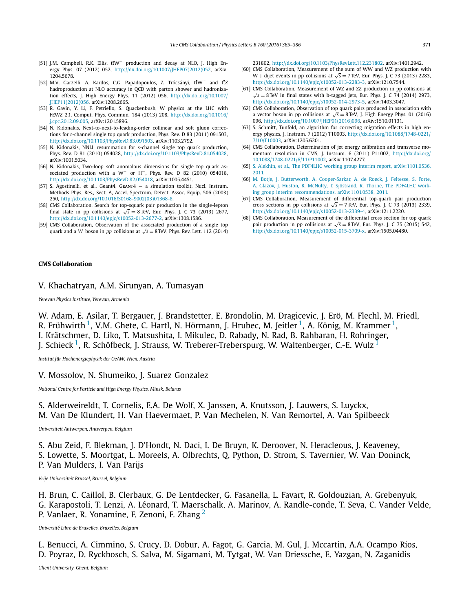- <span id="page-6-0"></span>[51] J.M. Campbell, R.K. Ellis, tt $W^{\pm}$  production and decay at NLO, J. High Energy Phys. 07 (2012) 052, [http://dx.doi.org/10.1007/JHEP07\(2012\)052,](http://dx.doi.org/10.1007/JHEP07(2012)052) arXiv: 1204.5678.
- [52] M.V. Garzelli, A. Kardos, C.G. Papadopoulos, Z. Trócsányi, t $\bar{t}W^{\pm}$  and tt $\bar{t}Z$ hadroproduction at NLO accuracy in QCD with parton shower and hadronization effects, J. High Energy Phys. 11 (2012) 056, [http://dx.doi.org/10.1007/](http://dx.doi.org/10.1007/JHEP11(2012)056) [JHEP11\(2012\)056](http://dx.doi.org/10.1007/JHEP11(2012)056), arXiv:1208.2665.
- [53] R. Gavin, Y. Li, F. Petriello, S. Quackenbush, W physics at the LHC with FEWZ 2.1, Comput. Phys. Commun. 184 (2013) 208, [http://dx.doi.org/10.1016/](http://dx.doi.org/10.1016/j.cpc.2012.09.005) [j.cpc.2012.09.005](http://dx.doi.org/10.1016/j.cpc.2012.09.005), arXiv:1201.5896.
- [54] N. Kidonakis, Next-to-next-to-leading-order collinear and soft gluon corrections for *t*-channel single top quark production, Phys. Rev. D 83 (2011) 091503, <http://dx.doi.org/10.1103/PhysRevD.83.091503>, arXiv:1103.2792.
- [55] N. Kidonakis, NNLL resummation for *s*-channel single top quark production, Phys. Rev. D 81 (2010) 054028, [http://dx.doi.org/10.1103/PhysRevD.81.054028,](http://dx.doi.org/10.1103/PhysRevD.81.054028) arXiv:1001.5034.
- [56] N. Kidonakis, Two-loop soft anomalous dimensions for single top quark associated production with a W<sup>−</sup> or H<sup>−</sup>, Phys. Rev. D 82 (2010) 054018, <http://dx.doi.org/10.1103/PhysRevD.82.054018>, arXiv:1005.4451.
- [57] S. Agostinelli, et al., Geant4, Geant4 a simulation toolkit, Nucl. Instrum. Methods Phys. Res., Sect. A, Accel. Spectrom. Detect. Assoc. Equip. 506 (2003) 250, [http://dx.doi.org/10.1016/S0168-9002\(03\)01368-8](http://dx.doi.org/10.1016/S0168-9002(03)01368-8).
- [58] CMS Collaboration, Search for top-squark pair production in the single-lepton final state in pp collisions at  $\sqrt{s} = 8$  TeV, Eur. Phys. J. C 73 (2013) 2677, <http://dx.doi.org/10.1140/epjc/s10052-013-2677-2>, arXiv:1308.1586.
- [59] CMS Collaboration, Observation of the associated production of a single top quark and a *W* boson in *pp* collisions at  $\sqrt{s} = 8$  TeV, Phys. Rev. Lett. 112 (2014)

231802, [http://dx.doi.org/10.1103/PhysRevLett.112.231802,](http://dx.doi.org/10.1103/PhysRevLett.112.231802) arXiv:1401.2942.

- [60] CMS Collaboration, Measurement of the sum of WW and WZ production with <sup>W</sup> <sup>+</sup> dijet events in pp collisions at <sup>√</sup>*<sup>s</sup>* <sup>=</sup> <sup>7</sup> TeV, Eur. Phys. J. <sup>C</sup> <sup>73</sup> (2013) 2283, <http://dx.doi.org/10.1140/epjc/s10052-013-2283-3>, arXiv:1210.7544.
- [61] CMS Collaboration, Measurement of WZ and ZZ production in pp collisions at <sup>√</sup>*<sup>s</sup>* <sup>=</sup> <sup>8</sup> TeV in final states with b-tagged jets, Eur. Phys. J. <sup>C</sup> <sup>74</sup> (2014) 2973, <http://dx.doi.org/10.1140/epjc/s10052-014-2973-5>, arXiv:1403.3047.
- [62] CMS Collaboration, Observation of top quark pairs produced in association with a vector boson in pp collisions at  $\sqrt{s} = 8 \text{ TeV}$ , J. High Energy Phys. 01 (2016) 096, [http://dx.doi.org/10.1007/JHEP01\(2016\)096,](http://dx.doi.org/10.1007/JHEP01(2016)096) arXiv:1510.01131.
- [63] S. Schmitt, Tunfold, an algorithm for correcting migration effects in high energy physics, J. Instrum. 7 (2012) T10003, [http://dx.doi.org/10.1088/1748-0221/](http://dx.doi.org/10.1088/1748-0221/7/10/T10003) [7/10/T10003,](http://dx.doi.org/10.1088/1748-0221/7/10/T10003) arXiv:1205.6201.
- [64] CMS Collaboration, Determination of jet energy calibration and transverse momentum resolution in CMS, J. Instrum. 6 (2011) P11002, [http://dx.doi.org/](http://dx.doi.org/10.1088/1748-0221/6/11/P11002) [10.1088/1748-0221/6/11/P11002](http://dx.doi.org/10.1088/1748-0221/6/11/P11002), arXiv:1107.4277.
- [65] S. Alekhin, et al., The PDF4LHC working group interim report, [arXiv:1101.0536,](http://refhub.elsevier.com/S0370-2693(16)30347-1/bib416C656B68696E3A32303131736Bs1) [2011.](http://refhub.elsevier.com/S0370-2693(16)30347-1/bib416C656B68696E3A32303131736Bs1)
- [66] M. Botje, J. Butterworth, A. [Cooper-Sarkar,](http://refhub.elsevier.com/S0370-2693(16)30347-1/bib706466346C6863496E746572696Ds1) A. de Roeck, J. Feltesse, S. Forte, [A. Glazov,](http://refhub.elsevier.com/S0370-2693(16)30347-1/bib706466346C6863496E746572696Ds1) J. Huston, R. McNulty, T. Sjöstrand, R. Thorne, The PDF4LHC working group interim [recommendations,](http://refhub.elsevier.com/S0370-2693(16)30347-1/bib706466346C6863496E746572696Ds1) arXiv:1101.0538, 2011.
- [67] CMS Collaboration, Measurement of differential top-quark pair production cross sections in pp collisions at  $\sqrt{s}$  = 7 TeV, Eur. Phys. J. C 73 (2013) 2339, <http://dx.doi.org/10.1140/epjc/s10052-013-2339-4>, arXiv:1211.2220.
- [68] CMS Collaboration, Measurement of the differential cross section for top quark pair production in pp collisions at  $\sqrt{s} = 8$  TeV, Eur. Phys. J. C 75 (2015) 542, [http://dx.doi.org/10.1140/epjc/s10052-015-3709-x,](http://dx.doi.org/10.1140/epjc/s10052-015-3709-x) arXiv:1505.04480.

### **CMS Collaboration**

## V. Khachatryan, A.M. Sirunyan, A. Tumasyan

*Yerevan Physics Institute, Yerevan, Armenia*

W. Adam, E. Asilar, T. Bergauer, J. Brandstetter, E. Brondolin, M. Dragicevic, J. Erö, M. Flechl, M. Friedl, R. Frühwirth <sup>1</sup>, V.M. Ghete, C. Hartl, N. Hörmann, J. Hrubec, M. Jeitler <sup>1</sup>, A. König, M. Krammer <sup>1</sup>, I. Krätschmer, D. Liko, T. Matsushita, I. Mikulec, D. Rabady, N. Rad, B. Rahbaran, H. Rohringer, J. Schieck  $\frac{1}{2}$  $\frac{1}{2}$  $\frac{1}{2}$ , R. Schöfbeck, J. Strauss, W. Treberer-Treberspurg, W. Waltenberger, C.-E. Wulz

*Institut für Hochenergiephysik der OeAW, Wien, Austria*

#### V. Mossolov, N. Shumeiko, J. Suarez Gonzalez

*National Centre for Particle and High Energy Physics, Minsk, Belarus*

S. Alderweireldt, T. Cornelis, E.A. De Wolf, X. Janssen, A. Knutsson, J. Lauwers, S. Luyckx, M. Van De Klundert, H. Van Haevermaet, P. Van Mechelen, N. Van Remortel, A. Van Spilbeeck

*Universiteit Antwerpen, Antwerpen, Belgium*

S. Abu Zeid, F. Blekman, J. D'Hondt, N. Daci, I. De Bruyn, K. Deroover, N. Heracleous, J. Keaveney, S. Lowette, S. Moortgat, L. Moreels, A. Olbrechts, Q. Python, D. Strom, S. Tavernier, W. Van Doninck, P. Van Mulders, I. Van Parijs

*Vrije Universiteit Brussel, Brussel, Belgium*

H. Brun, C. Caillol, B. Clerbaux, G. De Lentdecker, G. Fasanella, L. Favart, R. Goldouzian, A. Grebenyuk, G. Karapostoli, T. Lenzi, A. Léonard, T. Maerschalk, A. Marinov, A. Randle-conde, T. Seva, C. Vander Velde, P. Vanlaer, R. Yonamine, F. Zenoni, F. Zhang [2](#page-20-0)

*Université Libre de Bruxelles, Bruxelles, Belgium*

L. Benucci, A. Cimmino, S. Crucy, D. Dobur, A. Fagot, G. Garcia, M. Gul, J. Mccartin, A.A. Ocampo Rios, D. Poyraz, D. Ryckbosch, S. Salva, M. Sigamani, M. Tytgat, W. Van Driessche, E. Yazgan, N. Zaganidis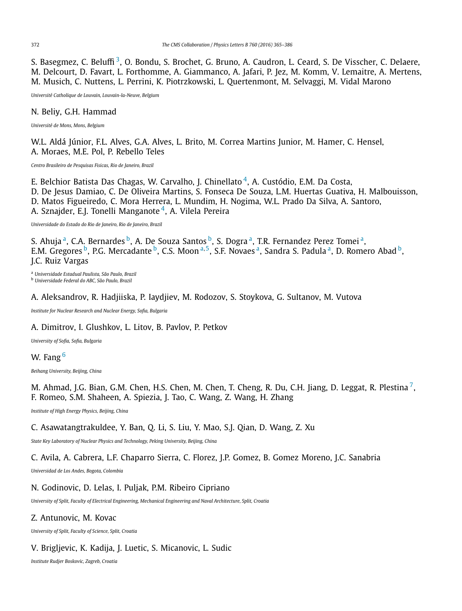S. Basegmez, C. Beluffi<sup>3</sup>, O. Bondu, S. Brochet, G. Bruno, A. Caudron, L. Ceard, S. De Visscher, C. Delaere, M. Delcourt, D. Favart, L. Forthomme, A. Giammanco, A. Jafari, P. Jez, M. Komm, V. Lemaitre, A. Mertens, M. Musich, C. Nuttens, L. Perrini, K. Piotrzkowski, L. Quertenmont, M. Selvaggi, M. Vidal Marono

*Université Catholique de Louvain, Louvain-la-Neuve, Belgium*

#### N. Beliy, G.H. Hammad

*Université de Mons, Mons, Belgium*

W.L. Aldá Júnior, F.L. Alves, G.A. Alves, L. Brito, M. Correa Martins Junior, M. Hamer, C. Hensel, A. Moraes, M.E. Pol, P. Rebello Teles

*Centro Brasileiro de Pesquisas Fisicas, Rio de Janeiro, Brazil*

E. Belchior Batista Das Chagas, W. Carvalho, J. Chinellato<sup>4</sup>, A. Custódio, E.M. Da Costa, D. De Jesus Damiao, C. De Oliveira Martins, S. Fonseca De Souza, L.M. Huertas Guativa, H. Malbouisson, D. Matos Figueiredo, C. Mora Herrera, L. Mundim, H. Nogima, W.L. Prado Da Silva, A. Santoro, A. Sznajder, E.J. Tonelli Manganote<sup>4</sup>, A. Vilela Pereira

*Universidade do Estado do Rio de Janeiro, Rio de Janeiro, Brazil*

S. Ahuja <sup>a</sup>, C.A. Bernardes <sup>b</sup>, A. De Souza Santos <sup>b</sup>, S. Dogra <sup>a</sup>, T.R. Fernandez Perez Tomei <sup>a</sup>, E.M. Gregores <sup>b</sup>, P.G. Mercadante <sup>b</sup>, C.S. Moon <sup>a, 5</sup>, S.F. Novaes <sup>a</sup>, Sandra S. Padula <sup>a</sup>, D. Romero Abad <sup>b</sup>, J.C. Ruiz Vargas

<sup>a</sup> *Universidade Estadual Paulista, São Paulo, Brazil* <sup>b</sup> *Universidade Federal do ABC, São Paulo, Brazil*

#### A. Aleksandrov, R. Hadjiiska, P. Iaydjiev, M. Rodozov, S. Stoykova, G. Sultanov, M. Vutova

*Institute for Nuclear Research and Nuclear Energy, Sofia, Bulgaria*

A. Dimitrov, I. Glushkov, L. Litov, B. Pavlov, P. Petkov

*University of Sofia, Sofia, Bulgaria*

## W. Fang<sup>[6](#page-20-0)</sup>

*Beihang University, Beijing, China*

M. Ahmad, J.G. Bian, G.M. Chen, H.S. Chen, M. Chen, T. Cheng, R. Du, C.H. Jiang, D. Leggat, R. Plestina<sup>7</sup>, F. Romeo, S.M. Shaheen, A. Spiezia, J. Tao, C. Wang, Z. Wang, H. Zhang

*Institute of High Energy Physics, Beijing, China*

# C. Asawatangtrakuldee, Y. Ban, Q. Li, S. Liu, Y. Mao, S.J. Qian, D. Wang, Z. Xu

*State Key Laboratory of Nuclear Physics and Technology, Peking University, Beijing, China*

# C. Avila, A. Cabrera, L.F. Chaparro Sierra, C. Florez, J.P. Gomez, B. Gomez Moreno, J.C. Sanabria

*Universidad de Los Andes, Bogota, Colombia*

# N. Godinovic, D. Lelas, I. Puljak, P.M. Ribeiro Cipriano

*University of Split, Faculty of Electrical Engineering, Mechanical Engineering and Naval Architecture, Split, Croatia*

# Z. Antunovic, M. Kovac

*University of Split, Faculty of Science, Split, Croatia*

# V. Brigljevic, K. Kadija, J. Luetic, S. Micanovic, L. Sudic

*Institute Rudjer Boskovic, Zagreb, Croatia*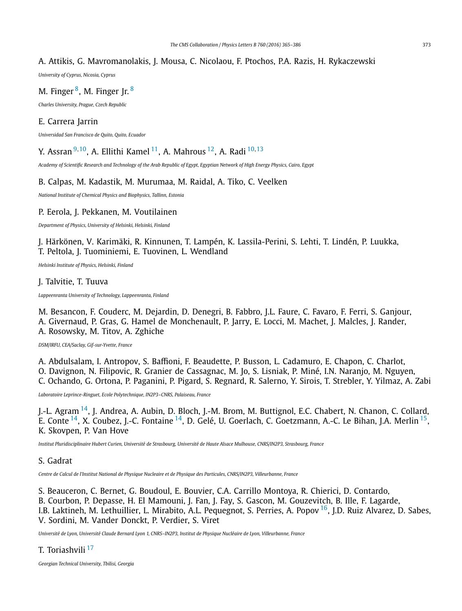# A. Attikis, G. Mavromanolakis, J. Mousa, C. Nicolaou, F. Ptochos, P.A. Razis, H. Rykaczewski

*University of Cyprus, Nicosia, Cyprus*

## M. Finger<sup>[8](#page-20-0)</sup>, M. Finger Ir.<sup>8</sup>

*Charles University, Prague, Czech Republic*

# E. Carrera Jarrin

*Universidad San Francisco de Quito, Quito, Ecuador*

# Y. Assran [9](#page-20-0)*,*[10,](#page-20-0) A. Ellithi Kamel [11,](#page-20-0) A. Mahrous [12](#page-20-0), A. Radi [10](#page-20-0)*,*[13](#page-20-0)

Academy of Scientific Research and Technology of the Arab Republic of Egypt, Egyptian Network of High Energy Physics, Cairo, Egypt

## B. Calpas, M. Kadastik, M. Murumaa, M. Raidal, A. Tiko, C. Veelken

*National Institute of Chemical Physics and Biophysics, Tallinn, Estonia*

### P. Eerola, J. Pekkanen, M. Voutilainen

*Department of Physics, University of Helsinki, Helsinki, Finland*

J. Härkönen, V. Karimäki, R. Kinnunen, T. Lampén, K. Lassila-Perini, S. Lehti, T. Lindén, P. Luukka, T. Peltola, J. Tuominiemi, E. Tuovinen, L. Wendland

*Helsinki Institute of Physics, Helsinki, Finland*

### J. Talvitie, T. Tuuva

*Lappeenranta University of Technology, Lappeenranta, Finland*

M. Besancon, F. Couderc, M. Dejardin, D. Denegri, B. Fabbro, J.L. Faure, C. Favaro, F. Ferri, S. Ganjour, A. Givernaud, P. Gras, G. Hamel de Monchenault, P. Jarry, E. Locci, M. Machet, J. Malcles, J. Rander, A. Rosowsky, M. Titov, A. Zghiche

*DSM/IRFU, CEA/Saclay, Gif-sur-Yvette, France*

A. Abdulsalam, I. Antropov, S. Baffioni, F. Beaudette, P. Busson, L. Cadamuro, E. Chapon, C. Charlot, O. Davignon, N. Filipovic, R. Granier de Cassagnac, M. Jo, S. Lisniak, P. Miné, I.N. Naranjo, M. Nguyen, C. Ochando, G. Ortona, P. Paganini, P. Pigard, S. Regnard, R. Salerno, Y. Sirois, T. Strebler, Y. Yilmaz, A. Zabi

*Laboratoire Leprince-Ringuet, Ecole Polytechnique, IN2P3–CNRS, Palaiseau, France*

J.-L. Agram <sup>14</sup>, J. Andrea, A. Aubin, D. Bloch, J.-M. Brom, M. Buttignol, E.C. Chabert, N. Chanon, C. Collard, E. Conte [14,](#page-20-0) X. Coubez, J.-C. Fontaine [14](#page-20-0), D. Gelé, U. Goerlach, C. Goetzmann, A.-C. Le Bihan, J.A. Merlin [15,](#page-20-0) K. Skovpen, P. Van Hove

Institut Pluridisciplinaire Hubert Curien, Université de Strasbourg, Université de Haute Alsace Mulhouse, CNRS/IN2P3, Strasbourg, France

## S. Gadrat

Centre de Calcul de l'Institut National de Physique Nucleaire et de Physique des Particules, CNRS/IN2P3, Villeurbanne, France

S. Beauceron, C. Bernet, G. Boudoul, E. Bouvier, C.A. Carrillo Montoya, R. Chierici, D. Contardo, B. Courbon, P. Depasse, H. El Mamouni, J. Fan, J. Fay, S. Gascon, M. Gouzevitch, B. Ille, F. Lagarde, I.B. Laktineh, M. Lethuillier, L. Mirabito, A.L. Pequegnot, S. Perries, A. Popov <sup>16</sup>, J.D. Ruiz Alvarez, D. Sabes, V. Sordini, M. Vander Donckt, P. Verdier, S. Viret

Université de Lyon, Université Claude Bernard Lyon 1, CNRS-IN2P3, Institut de Physique Nucléaire de Lyon, Villeurbanne, France

## T. Toriashvili <sup>[17](#page-20-0)</sup>

*Georgian Technical University, Tbilisi, Georgia*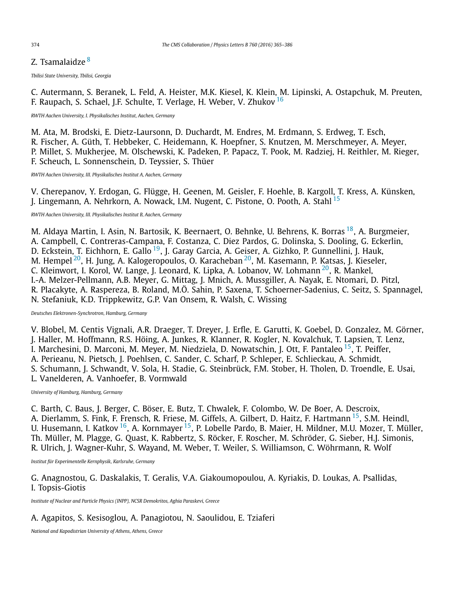# Z. Tsamalaidze<sup>[8](#page-20-0)</sup>

*Tbilisi State University, Tbilisi, Georgia*

C. Autermann, S. Beranek, L. Feld, A. Heister, M.K. Kiesel, K. Klein, M. Lipinski, A. Ostapchuk, M. Preuten, F. Raupach, S. Schael, J.F. Schulte, T. Verlage, H. Weber, V. Zhukov [16](#page-20-0)

*RWTH Aachen University, I. Physikalisches Institut, Aachen, Germany*

M. Ata, M. Brodski, E. Dietz-Laursonn, D. Duchardt, M. Endres, M. Erdmann, S. Erdweg, T. Esch, R. Fischer, A. Güth, T. Hebbeker, C. Heidemann, K. Hoepfner, S. Knutzen, M. Merschmeyer, A. Meyer, P. Millet, S. Mukherjee, M. Olschewski, K. Padeken, P. Papacz, T. Pook, M. Radziej, H. Reithler, M. Rieger, F. Scheuch, L. Sonnenschein, D. Teyssier, S. Thüer

*RWTH Aachen University, III. Physikalisches Institut A, Aachen, Germany*

V. Cherepanov, Y. Erdogan, G. Flügge, H. Geenen, M. Geisler, F. Hoehle, B. Kargoll, T. Kress, A. Künsken, J. Lingemann, A. Nehrkorn, A. Nowack, I.M. Nugent, C. Pistone, O. Pooth, A. Stahl [15](#page-20-0)

*RWTH Aachen University, III. Physikalisches Institut B, Aachen, Germany*

M. Aldaya Martin, I. Asin, N. Bartosik, K. Beernaert, O. Behnke, U. Behrens, K. Borras <sup>18</sup>, A. Burgmeier, A. Campbell, C. Contreras-Campana, F. Costanza, C. Diez Pardos, G. Dolinska, S. Dooling, G. Eckerlin, D. Eckstein, T. Eichhorn, E. Gallo [19](#page-20-0), J. Garay Garcia, A. Geiser, A. Gizhko, P. Gunnellini, J. Hauk, M. Hempel<sup>20</sup>, H. Jung, A. Kalogeropoulos, O. Karacheban<sup>20</sup>, M. Kasemann, P. Katsas, J. Kieseler, C. Kleinwort, I. Korol, W. Lange, J. Leonard, K. Lipka, A. Lobanov, W. Lohmann [20](#page-20-0), R. Mankel, I.-A. Melzer-Pellmann, A.B. Meyer, G. Mittag, J. Mnich, A. Mussgiller, A. Nayak, E. Ntomari, D. Pitzl, R. Placakyte, A. Raspereza, B. Roland, M.Ö. Sahin, P. Saxena, T. Schoerner-Sadenius, C. Seitz, S. Spannagel, N. Stefaniuk, K.D. Trippkewitz, G.P. Van Onsem, R. Walsh, C. Wissing

*Deutsches Elektronen-Synchrotron, Hamburg, Germany*

V. Blobel, M. Centis Vignali, A.R. Draeger, T. Dreyer, J. Erfle, E. Garutti, K. Goebel, D. Gonzalez, M. Görner, J. Haller, M. Hoffmann, R.S. Höing, A. Junkes, R. Klanner, R. Kogler, N. Kovalchuk, T. Lapsien, T. Lenz, I. Marchesini, D. Marconi, M. Meyer, M. Niedziela, D. Nowatschin, J. Ott, F. Pantaleo <sup>15</sup>, T. Peiffer, A. Perieanu, N. Pietsch, J. Poehlsen, C. Sander, C. Scharf, P. Schleper, E. Schlieckau, A. Schmidt, S. Schumann, J. Schwandt, V. Sola, H. Stadie, G. Steinbrück, F.M. Stober, H. Tholen, D. Troendle, E. Usai, L. Vanelderen, A. Vanhoefer, B. Vormwald

*University of Hamburg, Hamburg, Germany*

C. Barth, C. Baus, J. Berger, C. Böser, E. Butz, T. Chwalek, F. Colombo, W. De Boer, A. Descroix, A. Dierlamm, S. Fink, F. Frensch, R. Friese, M. Giffels, A. Gilbert, D. Haitz, F. Hartmann <sup>[15](#page-20-0)</sup>, S.M. Heindl, U. Husemann, I. Katkov <sup>16</sup>, A. Kornmayer <sup>15</sup>, P. Lobelle Pardo, B. Maier, H. Mildner, M.U. Mozer, T. Müller, Th. Müller, M. Plagge, G. Quast, K. Rabbertz, S. Röcker, F. Roscher, M. Schröder, G. Sieber, H.J. Simonis, R. Ulrich, J. Wagner-Kuhr, S. Wayand, M. Weber, T. Weiler, S. Williamson, C. Wöhrmann, R. Wolf

*Institut für Experimentelle Kernphysik, Karlsruhe, Germany*

G. Anagnostou, G. Daskalakis, T. Geralis, V.A. Giakoumopoulou, A. Kyriakis, D. Loukas, A. Psallidas, I. Topsis-Giotis

*Institute of Nuclear and Particle Physics (INPP), NCSR Demokritos, Aghia Paraskevi, Greece*

A. Agapitos, S. Kesisoglou, A. Panagiotou, N. Saoulidou, E. Tziaferi

*National and Kapodistrian University of Athens, Athens, Greece*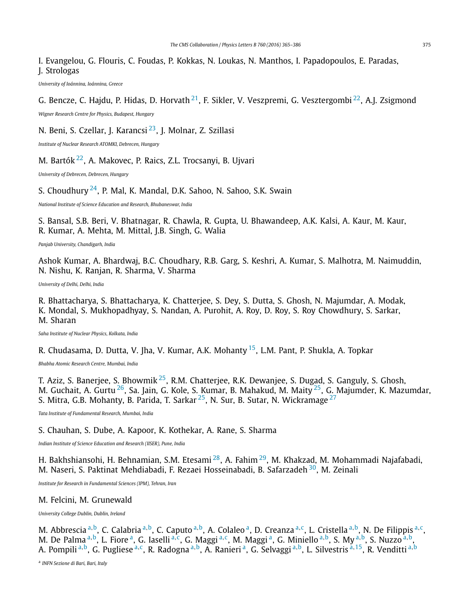# I. Evangelou, G. Flouris, C. Foudas, P. Kokkas, N. Loukas, N. Manthos, I. Papadopoulos, E. Paradas, J. Strologas

*University of Ioánnina, Ioánnina, Greece*

G. Bencze, C. Hajdu, P. Hidas, D. Horvath [21,](#page-20-0) F. Sikler, V. Veszpremi, G. Vesztergombi [22,](#page-20-0) A.J. Zsigmond *Wigner Research Centre for Physics, Budapest, Hungary*

N. Beni, S. Czellar, J. Karancsi [23,](#page-20-0) J. Molnar, Z. Szillasi

*Institute of Nuclear Research ATOMKI, Debrecen, Hungary*

M. Bartók [22,](#page-20-0) A. Makovec, P. Raics, Z.L. Trocsanyi, B. Ujvari

*University of Debrecen, Debrecen, Hungary*

S. Choudhury [24,](#page-20-0) P. Mal, K. Mandal, D.K. Sahoo, N. Sahoo, S.K. Swain

*National Institute of Science Education and Research, Bhubaneswar, India*

S. Bansal, S.B. Beri, V. Bhatnagar, R. Chawla, R. Gupta, U. Bhawandeep, A.K. Kalsi, A. Kaur, M. Kaur, R. Kumar, A. Mehta, M. Mittal, J.B. Singh, G. Walia

*Panjab University, Chandigarh, India*

Ashok Kumar, A. Bhardwaj, B.C. Choudhary, R.B. Garg, S. Keshri, A. Kumar, S. Malhotra, M. Naimuddin, N. Nishu, K. Ranjan, R. Sharma, V. Sharma

*University of Delhi, Delhi, India*

R. Bhattacharya, S. Bhattacharya, K. Chatterjee, S. Dey, S. Dutta, S. Ghosh, N. Majumdar, A. Modak, K. Mondal, S. Mukhopadhyay, S. Nandan, A. Purohit, A. Roy, D. Roy, S. Roy Chowdhury, S. Sarkar, M. Sharan

*Saha Institute of Nuclear Physics, Kolkata, India*

R. Chudasama, D. Dutta, V. Jha, V. Kumar, A.K. Mohanty [15,](#page-20-0) L.M. Pant, P. Shukla, A. Topkar

*Bhabha Atomic Research Centre, Mumbai, India*

T. Aziz, S. Banerjee, S. Bhowmik [25,](#page-20-0) R.M. Chatterjee, R.K. Dewanjee, S. Dugad, S. Ganguly, S. Ghosh, M. Guchait, A. Gurtu <sup>26</sup>, Sa. Jain, G. Kole, S. Kumar, B. Mahakud, M. Maity <sup>25</sup>, G. Majumder, K. Mazumdar, S. Mitra, G.B. Mohanty, B. Parida, T. Sarkar<sup>25</sup>, N. Sur, B. Sutar, N. Wickramage<sup>[27](#page-20-0)</sup>

*Tata Institute of Fundamental Research, Mumbai, India*

S. Chauhan, S. Dube, A. Kapoor, K. Kothekar, A. Rane, S. Sharma

*Indian Institute of Science Education and Research (IISER), Pune, India*

H. Bakhshiansohi, H. Behnamian, S.M. Etesami [28,](#page-20-0) A. Fahim [29,](#page-20-0) M. Khakzad, M. Mohammadi Najafabadi, M. Naseri, S. Paktinat Mehdiabadi, F. Rezaei Hosseinabadi, B. Safarzadeh<sup>30</sup>, M. Zeinali

*Institute for Research in Fundamental Sciences (IPM), Tehran, Iran*

#### M. Felcini, M. Grunewald

*University College Dublin, Dublin, Ireland*

M. Abbrescia <sup>a</sup>*,*b, C. Calabria <sup>a</sup>*,*b, C. Caputo <sup>a</sup>*,*b, A. Colaleo a, D. Creanza <sup>a</sup>*,*[c,](#page-11-0) L. Cristella <sup>a</sup>*,*b, N. De Filippis <sup>a</sup>*,*[c,](#page-11-0) M. De Palma <sup>a</sup>*,*b, L. Fiore a, G. Iaselli <sup>a</sup>*,*[c,](#page-11-0) G. Maggi <sup>a</sup>*,*[c,](#page-11-0) M. Maggi a, G. Miniello <sup>a</sup>*,*b, S. My <sup>a</sup>*,*b, S. Nuzzo <sup>a</sup>*,*b, A. Pompili <sup>a</sup>*,*b, G. Pugliese <sup>a</sup>*,*[c,](#page-11-0) R. Radogna <sup>a</sup>*,*b, A. Ranieri a, G. Selvaggi <sup>a</sup>*,*b, L. Silvestris <sup>a</sup>*,*[15](#page-20-0), R. Venditti <sup>a</sup>*,*<sup>b</sup>

<sup>a</sup> *INFN Sezione di Bari, Bari, Italy*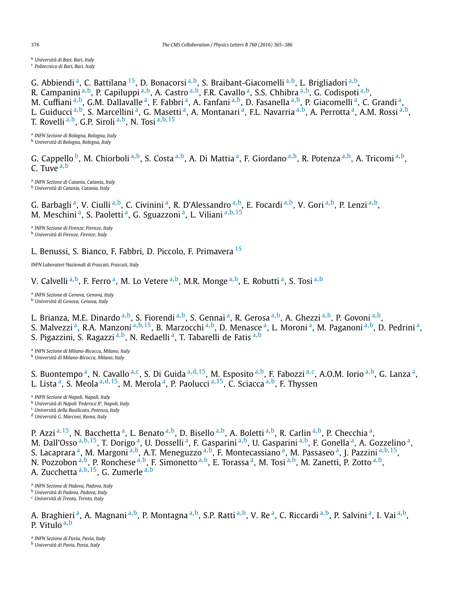<span id="page-11-0"></span><sup>b</sup> *Università di Bari, Bari, Italy* <sup>c</sup> *Politecnico di Bari, Bari, Italy*

G. Abbiendi a, C. Battilana [15,](#page-20-0) D. Bonacorsi <sup>a</sup>*,*b, S. Braibant-Giacomelli <sup>a</sup>*,*b, L. Brigliadori <sup>a</sup>*,*b, R. Campanini <sup>a</sup>*,*b, P. Capiluppi <sup>a</sup>*,*b, A. Castro <sup>a</sup>*,*b, F.R. Cavallo a, S.S. Chhibra <sup>a</sup>*,*b, G. Codispoti <sup>a</sup>*,*b, M. Cuffiani <sup>a</sup>*,*b, G.M. Dallavalle a, F. Fabbri a, A. Fanfani <sup>a</sup>*,*b, D. Fasanella <sup>a</sup>*,*b, P. Giacomelli a, C. Grandi a, L. Guiducci a, b, S. Marcellini a, G. Masetti a, A. Montanari a, F.L. Navarria a, b, A. Perrotta a, A.M. Rossi a, b, T. Rovelli <sup>a</sup>*,*b, G.P. Siroli <sup>a</sup>*,*b, N. Tosi <sup>a</sup>*,*b*,*[15](#page-20-0)

<sup>a</sup> *INFN Sezione di Bologna, Bologna, Italy* <sup>b</sup> *Università di Bologna, Bologna, Italy*

G. Cappello b, M. Chiorboli <sup>a</sup>*,*b, S. Costa <sup>a</sup>*,*b, A. Di Mattia a, F. Giordano <sup>a</sup>*,*b, R. Potenza <sup>a</sup>*,*b, A. Tricomi <sup>a</sup>*,*b, C. Tuve <sup>a</sup>*,*<sup>b</sup>

<sup>a</sup> *INFN Sezione di Catania, Catania, Italy* <sup>b</sup> *Università di Catania, Catania, Italy*

G. Barbagli a, V. Ciulli <sup>a</sup>*,*b, C. Civinini a, R. D'Alessandro <sup>a</sup>*,*b, E. Focardi <sup>a</sup>*,*b, V. Gori <sup>a</sup>*,*b, P. Lenzi <sup>a</sup>*,*b, M. Meschini a, S. Paoletti a, G. Sguazzoni a, L. Viliani <sup>a</sup>*,*b*,*[15](#page-20-0)

<sup>a</sup> *INFN Sezione di Firenze, Firenze, Italy* <sup>b</sup> *Università di Firenze, Firenze, Italy*

L. Benussi, S. Bianco, F. Fabbri, D. Piccolo, F. Primavera [15](#page-20-0)

*INFN Laboratori Nazionali di Frascati, Frascati, Italy*

V. Calvelli<sup>a,b</sup>, F. Ferro<sup>a</sup>, M. Lo Vetere<sup>a,b</sup>, M.R. Monge<sup>a,b</sup>, E. Robutti<sup>a</sup>, S. Tosi<sup>a,b</sup>

<sup>a</sup> *INFN Sezione di Genova, Genova, Italy* <sup>b</sup> *Università di Genova, Genova, Italy*

L. Brianza, M.E. Dinardo <sup>a</sup>*,*b, S. Fiorendi <sup>a</sup>*,*b, S. Gennai a, R. Gerosa <sup>a</sup>*,*b, A. Ghezzi <sup>a</sup>*,*b, P. Govoni <sup>a</sup>*,*b, S. Malvezzi a, R.A. Manzoni <sup>a</sup>*,*b*,*[15,](#page-20-0) B. Marzocchi <sup>a</sup>*,*b, D. Menasce a, L. Moroni a, M. Paganoni <sup>a</sup>*,*b, D. Pedrini a, S. Pigazzini, S. Ragazzi <sup>a</sup>*,*b, N. Redaelli a, T. Tabarelli de Fatis <sup>a</sup>*,*<sup>b</sup>

<sup>a</sup> *INFN Sezione di Milano-Bicocca, Milano, Italy* <sup>b</sup> *Università di Milano-Bicocca, Milano, Italy*

S. Buontempo a, N. Cavallo <sup>a</sup>*,*c, S. Di Guida <sup>a</sup>*,*d*,*[15,](#page-20-0) M. Esposito <sup>a</sup>*,*b, F. Fabozzi <sup>a</sup>*,*c, A.O.M. Iorio <sup>a</sup>*,*b, G. Lanza a, L. Lista a, S. Meola <sup>a</sup>*,*d*,*[15,](#page-20-0) M. Merola a, P. Paolucci <sup>a</sup>*,*[15](#page-20-0), C. Sciacca <sup>a</sup>*,*b, F. Thyssen

<sup>a</sup> *INFN Sezione di Napoli, Napoli, Italy*

<sup>b</sup> *Università di Napoli 'Federico II', Napoli, Italy*

<sup>c</sup> *Università della Basilicata, Potenza, Italy*

<sup>d</sup> *Università G. Marconi, Roma, Italy*

P. Azzi <sup>a</sup>*,*[15,](#page-20-0) N. Bacchetta a, L. Benato <sup>a</sup>*,*b, D. Bisello <sup>a</sup>*,*b, A. Boletti <sup>a</sup>*,*b, R. Carlin <sup>a</sup>*,*b, P. Checchia a, M. Dall'Osso a, b, [15,](#page-20-0) T. Dorigo <sup>a</sup>, U. Dosselli <sup>a</sup>, F. Gasparini a, b, U. Gasparini a, b, F. Gonella <sup>a</sup>, A. Gozzelino <sup>a</sup>, S. Lacaprara a, M. Margoni <sup>a</sup>*,*b, A.T. Meneguzzo <sup>a</sup>*,*b, F. Montecassiano a, M. Passaseo a, J. Pazzini <sup>a</sup>*,*b*,*[15,](#page-20-0) N. Pozzobon <sup>a</sup>*,*b, P. Ronchese <sup>a</sup>*,*b, F. Simonetto <sup>a</sup>*,*b, E. Torassa a, M. Tosi <sup>a</sup>*,*b, M. Zanetti, P. Zotto <sup>a</sup>*,*b, A. Zucchetta <sup>a</sup>*,*b*,*[15,](#page-20-0) G. Zumerle <sup>a</sup>*,*<sup>b</sup>

<sup>a</sup> *INFN Sezione di Padova, Padova, Italy*

<sup>b</sup> *Università di Padova, Padova, Italy*

<sup>c</sup> *Università di Trento, Trento, Italy*

A. Braghieri a, A. Magnani <sup>a</sup>*,*b, P. Montagna <sup>a</sup>*,*b, S.P. Ratti <sup>a</sup>*,*b, V. Re a, C. Riccardi <sup>a</sup>*,*b, P. Salvini a, I. Vai <sup>a</sup>*,*b, P. Vitulo <sup>a</sup>*,*<sup>b</sup>

<sup>a</sup> *INFN Sezione di Pavia, Pavia, Italy*

<sup>b</sup> *Università di Pavia, Pavia, Italy*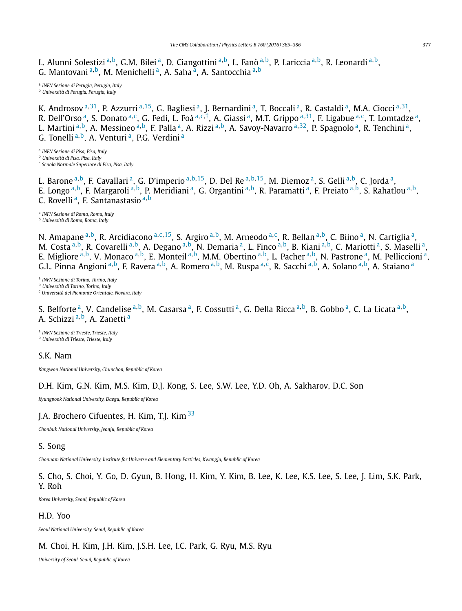L. Alunni Solestizi <sup>a</sup>*,*b, G.M. Bilei a, D. Ciangottini <sup>a</sup>*,*b, L. Fanò <sup>a</sup>*,*b, P. Lariccia <sup>a</sup>*,*b, R. Leonardi <sup>a</sup>*,*b, G. Mantovani <sup>a</sup>*,*b, M. Menichelli a, A. Saha a, A. Santocchia <sup>a</sup>*,*<sup>b</sup>

<sup>a</sup> *INFN Sezione di Perugia, Perugia, Italy* <sup>b</sup> *Università di Perugia, Perugia, Italy*

K. Androsov a, [31,](#page-20-0) P. Azzurri a, [15,](#page-20-0) G. Bagliesi <sup>a</sup>, J. Bernardini <sup>a</sup>, T. Boccali <sup>a</sup>, R. Castaldi <sup>a</sup>, M.A. Ciocci a, 31, R. Dell'Orso a, S. Donato <sup>a</sup>*,*c, G. Fedi, L. Foà <sup>a</sup>*,*c*,*[†,](#page-20-0) A. Giassi a, M.T. Grippo <sup>a</sup>*,*[31,](#page-20-0) F. Ligabue <sup>a</sup>*,*c, T. Lomtadze a, L. Martini <sup>a</sup>*,*b, A. Messineo <sup>a</sup>*,*b, F. Palla a, A. Rizzi <sup>a</sup>*,*b, A. Savoy-Navarro <sup>a</sup>*,*[32,](#page-20-0) P. Spagnolo a, R. Tenchini a, G. Tonelli a, b, A. Venturi<sup>a</sup>, P.G. Verdini<sup>a</sup>

<sup>a</sup> *INFN Sezione di Pisa, Pisa, Italy*

<sup>b</sup> *Università di Pisa, Pisa, Italy*

<sup>c</sup> *Scuola Normale Superiore di Pisa, Pisa, Italy*

L. Barone a,b, F. Cavallari <sup>a</sup>, G. D'imperio a,b,[15,](#page-20-0) D. Del Re a,b,15, M. Diemoz <sup>a</sup>, S. Gelli a,b, C. Iorda <sup>a</sup>, E. Longo <sup>a</sup>*,*b, F. Margaroli <sup>a</sup>*,*b, P. Meridiani a, G. Organtini <sup>a</sup>*,*b, R. Paramatti a, F. Preiato <sup>a</sup>*,*b, S. Rahatlou <sup>a</sup>*,*b, C. Rovelli a, F. Santanastasio <sup>a</sup>*,*<sup>b</sup>

<sup>a</sup> *INFN Sezione di Roma, Roma, Italy*

<sup>b</sup> *Università di Roma, Roma, Italy*

N. Amapane <sup>a</sup>*,*b, R. Arcidiacono <sup>a</sup>*,*c*,*[15,](#page-20-0) S. Argiro <sup>a</sup>*,*b, M. Arneodo <sup>a</sup>*,*c, R. Bellan <sup>a</sup>*,*b, C. Biino a, N. Cartiglia a, M. Costa <sup>a</sup>*,*b, R. Covarelli <sup>a</sup>*,*b, A. Degano <sup>a</sup>*,*b, N. Demaria a, L. Finco <sup>a</sup>*,*b, B. Kiani <sup>a</sup>*,*b, C. Mariotti a, S. Maselli a, E. Migliore <sup>a</sup>*,*b, V. Monaco <sup>a</sup>*,*b, E. Monteil <sup>a</sup>*,*b, M.M. Obertino <sup>a</sup>*,*b, L. Pacher <sup>a</sup>*,*b, N. Pastrone a, M. Pelliccioni a, G.L. Pinna Angioni <sup>a</sup>*,*b, F. Ravera <sup>a</sup>*,*b, A. Romero <sup>a</sup>*,*b, M. Ruspa <sup>a</sup>*,*c, R. Sacchi <sup>a</sup>*,*b, A. Solano <sup>a</sup>*,*b, A. Staiano <sup>a</sup>

<sup>a</sup> *INFN Sezione di Torino, Torino, Italy*

<sup>b</sup> *Università di Torino, Torino, Italy*

<sup>c</sup> *Università del Piemonte Orientale, Novara, Italy*

S. Belforte<sup>a</sup>, V. Candelise<sup>a,b</sup>, M. Casarsa<sup>a</sup>, F. Cossutti<sup>a</sup>, G. Della Ricca<sup>a,b</sup>, B. Gobbo<sup>a</sup>, C. La Licata<sup>a,b</sup>, A. Schizzi <sup>a</sup>*,*b, A. Zanetti <sup>a</sup>

<sup>a</sup> *INFN Sezione di Trieste, Trieste, Italy* <sup>b</sup> *Università di Trieste, Trieste, Italy*

# S.K. Nam

*Kangwon National University, Chunchon, Republic of Korea*

# D.H. Kim, G.N. Kim, M.S. Kim, D.J. Kong, S. Lee, S.W. Lee, Y.D. Oh, A. Sakharov, D.C. Son

*Kyungpook National University, Daegu, Republic of Korea*

# J.A. Brochero Cifuentes, H. Kim, T.J. Kim  $33$

*Chonbuk National University, Jeonju, Republic of Korea*

# S. Song

*Chonnam National University, Institute for Universe and Elementary Particles, Kwangju, Republic of Korea*

S. Cho, S. Choi, Y. Go, D. Gyun, B. Hong, H. Kim, Y. Kim, B. Lee, K. Lee, K.S. Lee, S. Lee, J. Lim, S.K. Park, Y. Roh

*Korea University, Seoul, Republic of Korea*

# H.D. Yoo

*Seoul National University, Seoul, Republic of Korea*

# M. Choi, H. Kim, J.H. Kim, J.S.H. Lee, I.C. Park, G. Ryu, M.S. Ryu

*University of Seoul, Seoul, Republic of Korea*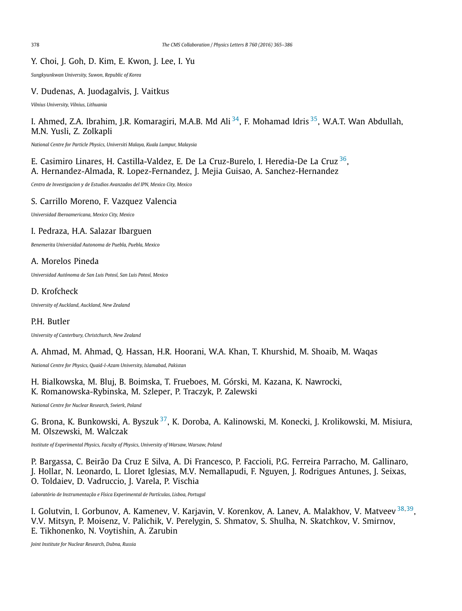## Y. Choi, J. Goh, D. Kim, E. Kwon, J. Lee, I. Yu

*Sungkyunkwan University, Suwon, Republic of Korea*

## V. Dudenas, A. Juodagalvis, J. Vaitkus

*Vilnius University, Vilnius, Lithuania*

# I. Ahmed, Z.A. Ibrahim, J.R. Komaragiri, M.A.B. Md Ali  $^{34}$ , F. Mohamad Idris  $^{35}$ , W.A.T. Wan Abdullah, M.N. Yusli, Z. Zolkapli

*National Centre for Particle Physics, Universiti Malaya, Kuala Lumpur, Malaysia*

# E. Casimiro Linares, H. Castilla-Valdez, E. De La Cruz-Burelo, I. Heredia-De La Cruz [36,](#page-21-0) A. Hernandez-Almada, R. Lopez-Fernandez, J. Mejia Guisao, A. Sanchez-Hernandez

*Centro de Investigacion y de Estudios Avanzados del IPN, Mexico City, Mexico*

## S. Carrillo Moreno, F. Vazquez Valencia

*Universidad Iberoamericana, Mexico City, Mexico*

## I. Pedraza, H.A. Salazar Ibarguen

*Benemerita Universidad Autonoma de Puebla, Puebla, Mexico*

# A. Morelos Pineda

*Universidad Autónoma de San Luis Potosí, San Luis Potosí, Mexico*

## D. Krofcheck

*University of Auckland, Auckland, New Zealand*

## P.H. Butler

*University of Canterbury, Christchurch, New Zealand*

A. Ahmad, M. Ahmad, Q. Hassan, H.R. Hoorani, W.A. Khan, T. Khurshid, M. Shoaib, M. Waqas

*National Centre for Physics, Quaid-I-Azam University, Islamabad, Pakistan*

H. Bialkowska, M. Bluj, B. Boimska, T. Frueboes, M. Górski, M. Kazana, K. Nawrocki, K. Romanowska-Rybinska, M. Szleper, P. Traczyk, P. Zalewski

*National Centre for Nuclear Research, Swierk, Poland*

G. Brona, K. Bunkowski, A. Byszuk<sup>37</sup>, K. Doroba, A. Kalinowski, M. Konecki, J. Krolikowski, M. Misiura, M. Olszewski, M. Walczak

*Institute of Experimental Physics, Faculty of Physics, University of Warsaw, Warsaw, Poland*

P. Bargassa, C. Beirão Da Cruz E Silva, A. Di Francesco, P. Faccioli, P.G. Ferreira Parracho, M. Gallinaro, J. Hollar, N. Leonardo, L. Lloret Iglesias, M.V. Nemallapudi, F. Nguyen, J. Rodrigues Antunes, J. Seixas, O. Toldaiev, D. Vadruccio, J. Varela, P. Vischia

*Laboratório de Instrumentação e Física Experimental de Partículas, Lisboa, Portugal*

I. Golutvin, I. Gorbunov, A. Kamenev, V. Karjavin, V. Korenkov, A. Lanev, A. Malakhov, V. Matveev [38](#page-21-0)*,*[39,](#page-21-0) V.V. Mitsyn, P. Moisenz, V. Palichik, V. Perelygin, S. Shmatov, S. Shulha, N. Skatchkov, V. Smirnov, E. Tikhonenko, N. Voytishin, A. Zarubin

*Joint Institute for Nuclear Research, Dubna, Russia*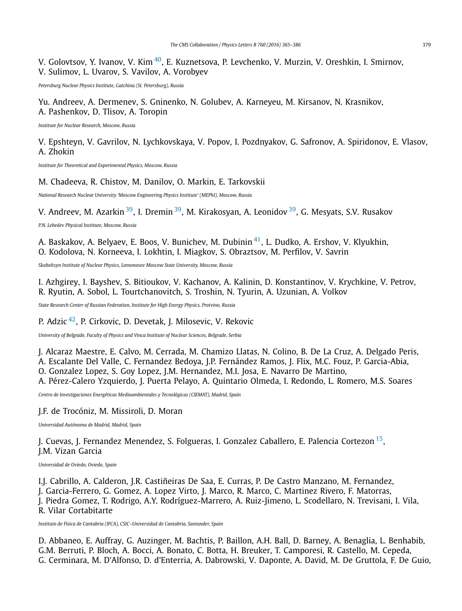V. Golovtsov, Y. Ivanov, V. Kim<sup>40</sup>, E. Kuznetsova, P. Levchenko, V. Murzin, V. Oreshkin, I. Smirnov, V. Sulimov, L. Uvarov, S. Vavilov, A. Vorobyev

*Petersburg Nuclear Physics Institute, Gatchina (St. Petersburg), Russia*

Yu. Andreev, A. Dermenev, S. Gninenko, N. Golubev, A. Karneyeu, M. Kirsanov, N. Krasnikov, A. Pashenkov, D. Tlisov, A. Toropin

*Institute for Nuclear Research, Moscow, Russia*

V. Epshteyn, V. Gavrilov, N. Lychkovskaya, V. Popov, I. Pozdnyakov, G. Safronov, A. Spiridonov, E. Vlasov, A. Zhokin

*Institute for Theoretical and Experimental Physics, Moscow, Russia*

M. Chadeeva, R. Chistov, M. Danilov, O. Markin, E. Tarkovskii

*National Research Nuclear University 'Moscow Engineering Physics Institute' (MEPhI), Moscow, Russia*

V. Andreev, M. Azarkin <sup>[39](#page-21-0)</sup>, I. Dremin <sup>39</sup>, M. Kirakosyan, A. Leonidov <sup>39</sup>, G. Mesyats, S.V. Rusakov

*P.N. Lebedev Physical Institute, Moscow, Russia*

A. Baskakov, A. Belyaev, E. Boos, V. Bunichev, M. Dubinin [41,](#page-21-0) L. Dudko, A. Ershov, V. Klyukhin, O. Kodolova, N. Korneeva, I. Lokhtin, I. Miagkov, S. Obraztsov, M. Perfilov, V. Savrin

*Skobeltsyn Institute of Nuclear Physics, Lomonosov Moscow State University, Moscow, Russia*

I. Azhgirey, I. Bayshev, S. Bitioukov, V. Kachanov, A. Kalinin, D. Konstantinov, V. Krychkine, V. Petrov, R. Ryutin, A. Sobol, L. Tourtchanovitch, S. Troshin, N. Tyurin, A. Uzunian, A. Volkov

*State Research Center of Russian Federation, Institute for High Energy Physics, Protvino, Russia*

P. Adzic [42,](#page-21-0) P. Cirkovic, D. Devetak, J. Milosevic, V. Rekovic

*University of Belgrade, Faculty of Physics and Vinca Institute of Nuclear Sciences, Belgrade, Serbia*

J. Alcaraz Maestre, E. Calvo, M. Cerrada, M. Chamizo Llatas, N. Colino, B. De La Cruz, A. Delgado Peris, A. Escalante Del Valle, C. Fernandez Bedoya, J.P. Fernández Ramos, J. Flix, M.C. Fouz, P. Garcia-Abia, O. Gonzalez Lopez, S. Goy Lopez, J.M. Hernandez, M.I. Josa, E. Navarro De Martino, A. Pérez-Calero Yzquierdo, J. Puerta Pelayo, A. Quintario Olmeda, I. Redondo, L. Romero, M.S. Soares

*Centro de Investigaciones Energéticas Medioambientales y Tecnológicas (CIEMAT), Madrid, Spain*

#### J.F. de Trocóniz, M. Missiroli, D. Moran

*Universidad Autónoma de Madrid, Madrid, Spain*

J. Cuevas, J. Fernandez Menendez, S. Folgueras, I. Gonzalez Caballero, E. Palencia Cortezon [15,](#page-20-0) J.M. Vizan Garcia

*Universidad de Oviedo, Oviedo, Spain*

I.J. Cabrillo, A. Calderon, J.R. Castiñeiras De Saa, E. Curras, P. De Castro Manzano, M. Fernandez, J. Garcia-Ferrero, G. Gomez, A. Lopez Virto, J. Marco, R. Marco, C. Martinez Rivero, F. Matorras, J. Piedra Gomez, T. Rodrigo, A.Y. Rodríguez-Marrero, A. Ruiz-Jimeno, L. Scodellaro, N. Trevisani, I. Vila, R. Vilar Cortabitarte

*Instituto de Física de Cantabria (IFCA), CSIC–Universidad de Cantabria, Santander, Spain*

D. Abbaneo, E. Auffray, G. Auzinger, M. Bachtis, P. Baillon, A.H. Ball, D. Barney, A. Benaglia, L. Benhabib, G.M. Berruti, P. Bloch, A. Bocci, A. Bonato, C. Botta, H. Breuker, T. Camporesi, R. Castello, M. Cepeda, G. Cerminara, M. D'Alfonso, D. d'Enterria, A. Dabrowski, V. Daponte, A. David, M. De Gruttola, F. De Guio,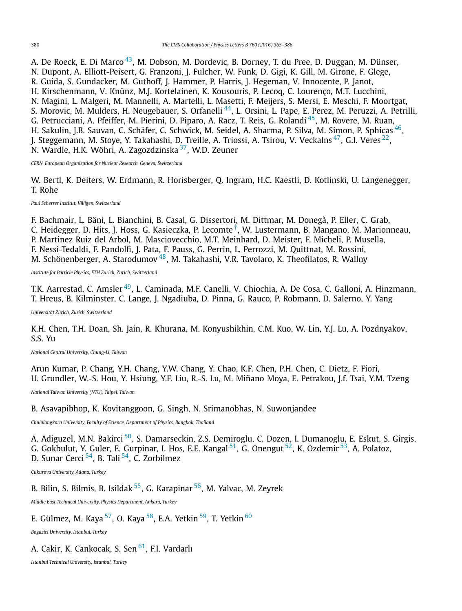A. De Roeck, E. Di Marco <sup>43</sup>, M. Dobson, M. Dordevic, B. Dorney, T. du Pree, D. Duggan, M. Dünser, N. Dupont, A. Elliott-Peisert, G. Franzoni, J. Fulcher, W. Funk, D. Gigi, K. Gill, M. Girone, F. Glege, R. Guida, S. Gundacker, M. Guthoff, J. Hammer, P. Harris, J. Hegeman, V. Innocente, P. Janot, H. Kirschenmann, V. Knünz, M.J. Kortelainen, K. Kousouris, P. Lecoq, C. Lourenço, M.T. Lucchini, N. Magini, L. Malgeri, M. Mannelli, A. Martelli, L. Masetti, F. Meijers, S. Mersi, E. Meschi, F. Moortgat, S. Morovic, M. Mulders, H. Neugebauer, S. Orfanelli [44,](#page-21-0) L. Orsini, L. Pape, E. Perez, M. Peruzzi, A. Petrilli, G. Petrucciani, A. Pfeiffer, M. Pierini, D. Piparo, A. Racz, T. Reis, G. Rolandi [45,](#page-21-0) M. Rovere, M. Ruan, H. Sakulin, J.B. Sauvan, C. Schäfer, C. Schwick, M. Seidel, A. Sharma, P. Silva, M. Simon, P. Sphicas<sup>46</sup>, J. Steggemann, M. Stoye, Y. Takahashi, D. Treille, A. Triossi, A. Tsirou, V. Veckalns <sup>47</sup>, G.I. Veres <sup>22</sup>, N. Wardle, H.K. Wöhri, A. Zagozdzinska [37,](#page-21-0) W.D. Zeuner

*CERN, European Organization for Nuclear Research, Geneva, Switzerland*

W. Bertl, K. Deiters, W. Erdmann, R. Horisberger, Q. Ingram, H.C. Kaestli, D. Kotlinski, U. Langenegger, T. Rohe

*Paul Scherrer Institut, Villigen, Switzerland*

F. Bachmair, L. Bäni, L. Bianchini, B. Casal, G. Dissertori, M. Dittmar, M. Donegà, P. Eller, C. Grab, C. Heidegger, D. Hits, J. Hoss, G. Kasieczka, P. Lecomte [†,](#page-20-0) W. Lustermann, B. Mangano, M. Marionneau, P. Martinez Ruiz del Arbol, M. Masciovecchio, M.T. Meinhard, D. Meister, F. Micheli, P. Musella, F. Nessi-Tedaldi, F. Pandolfi, J. Pata, F. Pauss, G. Perrin, L. Perrozzi, M. Quittnat, M. Rossini, M. Schönenberger, A. Starodumov [48](#page-21-0), M. Takahashi, V.R. Tavolaro, K. Theofilatos, R. Wallny

*Institute for Particle Physics, ETH Zurich, Zurich, Switzerland*

T.K. Aarrestad, C. Amsler<sup>49</sup>, L. Caminada, M.F. Canelli, V. Chiochia, A. De Cosa, C. Galloni, A. Hinzmann, T. Hreus, B. Kilminster, C. Lange, J. Ngadiuba, D. Pinna, G. Rauco, P. Robmann, D. Salerno, Y. Yang

*Universität Zürich, Zurich, Switzerland*

K.H. Chen, T.H. Doan, Sh. Jain, R. Khurana, M. Konyushikhin, C.M. Kuo, W. Lin, Y.J. Lu, A. Pozdnyakov, S.S. Yu

*National Central University, Chung-Li, Taiwan*

Arun Kumar, P. Chang, Y.H. Chang, Y.W. Chang, Y. Chao, K.F. Chen, P.H. Chen, C. Dietz, F. Fiori, U. Grundler, W.-S. Hou, Y. Hsiung, Y.F. Liu, R.-S. Lu, M. Miñano Moya, E. Petrakou, J.f. Tsai, Y.M. Tzeng

*National Taiwan University (NTU), Taipei, Taiwan*

## B. Asavapibhop, K. Kovitanggoon, G. Singh, N. Srimanobhas, N. Suwonjandee

*Chulalongkorn University, Faculty of Science, Department of Physics, Bangkok, Thailand*

A. Adiguzel, M.N. Bakirci<sup>50</sup>, S. Damarseckin, Z.S. Demiroglu, C. Dozen, I. Dumanoglu, E. Eskut, S. Girgis, G. Gokbulut, Y. Guler, E. Gurpinar, I. Hos, E.E. Kangal [51,](#page-21-0) G. Onengut [52,](#page-21-0) K. Ozdemir [53,](#page-21-0) A. Polatoz, D. Sunar Cerci  $54$ , B. Tali  $54$ , C. Zorbilmez

*Cukurova University, Adana, Turkey*

B. Bilin, S. Bilmis, B. Isildak  $55$ , G. Karapinar  $56$ , M. Yalvac, M. Zeyrek

*Middle East Technical University, Physics Department, Ankara, Turkey*

E. Gülmez, M. Kaya  $57$ , O. Kaya  $58$ , E.A. Yetkin  $59$ , T. Yetkin  $60$ 

*Bogazici University, Istanbul, Turkey*

A. Cakir, K. Cankocak, S. Sen<sup>61</sup>, F.I. Vardarlı

*Istanbul Technical University, Istanbul, Turkey*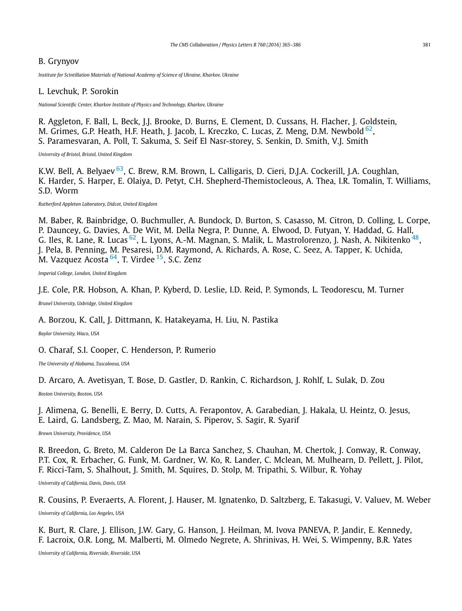## B. Grynyov

*Institute for Scintillation Materials of National Academy of Science of Ukraine, Kharkov, Ukraine*

#### L. Levchuk, P. Sorokin

*National Scientific Center, Kharkov Institute of Physics and Technology, Kharkov, Ukraine*

R. Aggleton, F. Ball, L. Beck, J.J. Brooke, D. Burns, E. Clement, D. Cussans, H. Flacher, J. Goldstein, M. Grimes, G.P. Heath, H.F. Heath, J. Jacob, L. Kreczko, C. Lucas, Z. Meng, D.M. Newbold  $62$ , S. Paramesvaran, A. Poll, T. Sakuma, S. Seif El Nasr-storey, S. Senkin, D. Smith, V.J. Smith

*University of Bristol, Bristol, United Kingdom*

K.W. Bell, A. Belyaev <sup>63</sup>, C. Brew, R.M. Brown, L. Calligaris, D. Cieri, D.J.A. Cockerill, J.A. Coughlan, K. Harder, S. Harper, E. Olaiya, D. Petyt, C.H. Shepherd-Themistocleous, A. Thea, I.R. Tomalin, T. Williams, S.D. Worm

*Rutherford Appleton Laboratory, Didcot, United Kingdom*

M. Baber, R. Bainbridge, O. Buchmuller, A. Bundock, D. Burton, S. Casasso, M. Citron, D. Colling, L. Corpe, P. Dauncey, G. Davies, A. De Wit, M. Della Negra, P. Dunne, A. Elwood, D. Futyan, Y. Haddad, G. Hall, G. Iles, R. Lane, R. Lucas <sup>62</sup>, L. Lyons, A.-M. Magnan, S. Malik, L. Mastrolorenzo, J. Nash, A. Nikitenko <sup>48</sup>, J. Pela, B. Penning, M. Pesaresi, D.M. Raymond, A. Richards, A. Rose, C. Seez, A. Tapper, K. Uchida, M. Vazquez Acosta <sup>[64](#page-21-0)</sup>, T. Virdee <sup>15</sup>, S.C. Zenz

*Imperial College, London, United Kingdom*

J.E. Cole, P.R. Hobson, A. Khan, P. Kyberd, D. Leslie, I.D. Reid, P. Symonds, L. Teodorescu, M. Turner

*Brunel University, Uxbridge, United Kingdom*

## A. Borzou, K. Call, J. Dittmann, K. Hatakeyama, H. Liu, N. Pastika

*Baylor University, Waco, USA*

O. Charaf, S.I. Cooper, C. Henderson, P. Rumerio

*The University of Alabama, Tuscaloosa, USA*

D. Arcaro, A. Avetisyan, T. Bose, D. Gastler, D. Rankin, C. Richardson, J. Rohlf, L. Sulak, D. Zou

*Boston University, Boston, USA*

J. Alimena, G. Benelli, E. Berry, D. Cutts, A. Ferapontov, A. Garabedian, J. Hakala, U. Heintz, O. Jesus, E. Laird, G. Landsberg, Z. Mao, M. Narain, S. Piperov, S. Sagir, R. Syarif

*Brown University, Providence, USA*

R. Breedon, G. Breto, M. Calderon De La Barca Sanchez, S. Chauhan, M. Chertok, J. Conway, R. Conway, P.T. Cox, R. Erbacher, G. Funk, M. Gardner, W. Ko, R. Lander, C. Mclean, M. Mulhearn, D. Pellett, J. Pilot, F. Ricci-Tam, S. Shalhout, J. Smith, M. Squires, D. Stolp, M. Tripathi, S. Wilbur, R. Yohay

*University of California, Davis, Davis, USA*

R. Cousins, P. Everaerts, A. Florent, J. Hauser, M. Ignatenko, D. Saltzberg, E. Takasugi, V. Valuev, M. Weber *University of California, Los Angeles, USA*

K. Burt, R. Clare, J. Ellison, J.W. Gary, G. Hanson, J. Heilman, M. Ivova PANEVA, P. Jandir, E. Kennedy, F. Lacroix, O.R. Long, M. Malberti, M. Olmedo Negrete, A. Shrinivas, H. Wei, S. Wimpenny, B.R. Yates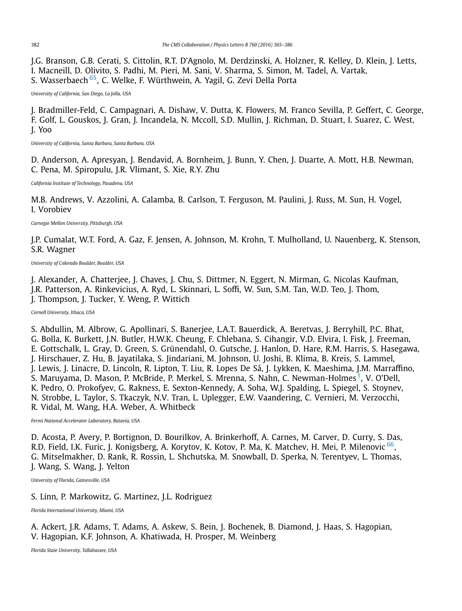J.G. Branson, G.B. Cerati, S. Cittolin, R.T. D'Agnolo, M. Derdzinski, A. Holzner, R. Kelley, D. Klein, J. Letts, I. Macneill, D. Olivito, S. Padhi, M. Pieri, M. Sani, V. Sharma, S. Simon, M. Tadel, A. Vartak, S. Wasserbaech [65](#page-21-0), C. Welke, F. Würthwein, A. Yagil, G. Zevi Della Porta

*University of California, San Diego, La Jolla, USA*

J. Bradmiller-Feld, C. Campagnari, A. Dishaw, V. Dutta, K. Flowers, M. Franco Sevilla, P. Geffert, C. George, F. Golf, L. Gouskos, J. Gran, J. Incandela, N. Mccoll, S.D. Mullin, J. Richman, D. Stuart, I. Suarez, C. West, J. Yoo

*University of California, Santa Barbara, Santa Barbara, USA*

D. Anderson, A. Apresyan, J. Bendavid, A. Bornheim, J. Bunn, Y. Chen, J. Duarte, A. Mott, H.B. Newman, C. Pena, M. Spiropulu, J.R. Vlimant, S. Xie, R.Y. Zhu

*California Institute of Technology, Pasadena, USA*

M.B. Andrews, V. Azzolini, A. Calamba, B. Carlson, T. Ferguson, M. Paulini, J. Russ, M. Sun, H. Vogel, I. Vorobiev

*Carnegie Mellon University, Pittsburgh, USA*

J.P. Cumalat, W.T. Ford, A. Gaz, F. Jensen, A. Johnson, M. Krohn, T. Mulholland, U. Nauenberg, K. Stenson, S.R. Wagner

*University of Colorado Boulder, Boulder, USA*

J. Alexander, A. Chatterjee, J. Chaves, J. Chu, S. Dittmer, N. Eggert, N. Mirman, G. Nicolas Kaufman, J.R. Patterson, A. Rinkevicius, A. Ryd, L. Skinnari, L. Soffi, W. Sun, S.M. Tan, W.D. Teo, J. Thom, J. Thompson, J. Tucker, Y. Weng, P. Wittich

*Cornell University, Ithaca, USA*

S. Abdullin, M. Albrow, G. Apollinari, S. Banerjee, L.A.T. Bauerdick, A. Beretvas, J. Berryhill, P.C. Bhat, G. Bolla, K. Burkett, J.N. Butler, H.W.K. Cheung, F. Chlebana, S. Cihangir, V.D. Elvira, I. Fisk, J. Freeman, E. Gottschalk, L. Gray, D. Green, S. Grünendahl, O. Gutsche, J. Hanlon, D. Hare, R.M. Harris, S. Hasegawa, J. Hirschauer, Z. Hu, B. Jayatilaka, S. Jindariani, M. Johnson, U. Joshi, B. Klima, B. Kreis, S. Lammel, J. Lewis, J. Linacre, D. Lincoln, R. Lipton, T. Liu, R. Lopes De Sá, J. Lykken, K. Maeshima, J.M. Marraffino, S. Maruyama, D. Mason, P. McBride, P. Merkel, S. Mrenna, S. Nahn, C. Newman-Holmes [†,](#page-20-0) V. O'Dell, K. Pedro, O. Prokofyev, G. Rakness, E. Sexton-Kennedy, A. Soha, W.J. Spalding, L. Spiegel, S. Stoynev, N. Strobbe, L. Taylor, S. Tkaczyk, N.V. Tran, L. Uplegger, E.W. Vaandering, C. Vernieri, M. Verzocchi, R. Vidal, M. Wang, H.A. Weber, A. Whitbeck

*Fermi National Accelerator Laboratory, Batavia, USA*

D. Acosta, P. Avery, P. Bortignon, D. Bourilkov, A. Brinkerhoff, A. Carnes, M. Carver, D. Curry, S. Das, R.D. Field, I.K. Furic, J. Konigsberg, A. Korytov, K. Kotov, P. Ma, K. Matchev, H. Mei, P. Milenovic <sup>66</sup>, G. Mitselmakher, D. Rank, R. Rossin, L. Shchutska, M. Snowball, D. Sperka, N. Terentyev, L. Thomas, J. Wang, S. Wang, J. Yelton

*University of Florida, Gainesville, USA*

S. Linn, P. Markowitz, G. Martinez, J.L. Rodriguez

*Florida International University, Miami, USA*

A. Ackert, J.R. Adams, T. Adams, A. Askew, S. Bein, J. Bochenek, B. Diamond, J. Haas, S. Hagopian, V. Hagopian, K.F. Johnson, A. Khatiwada, H. Prosper, M. Weinberg

*Florida State University, Tallahassee, USA*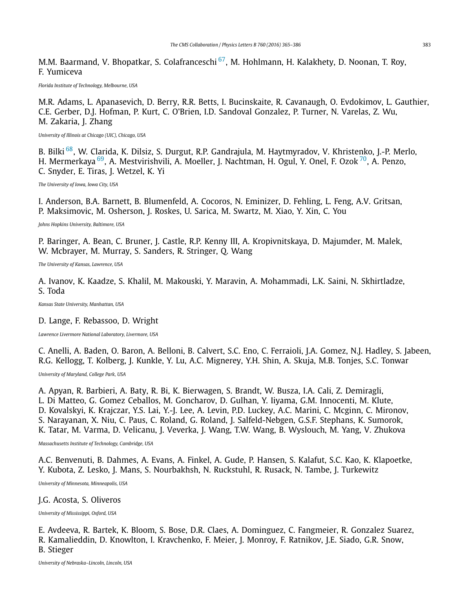M.M. Baarmand, V. Bhopatkar, S. Colafranceschi<sup>67</sup>, M. Hohlmann, H. Kalakhety, D. Noonan, T. Roy, F. Yumiceva

*Florida Institute of Technology, Melbourne, USA*

M.R. Adams, L. Apanasevich, D. Berry, R.R. Betts, I. Bucinskaite, R. Cavanaugh, O. Evdokimov, L. Gauthier, C.E. Gerber, D.J. Hofman, P. Kurt, C. O'Brien, I.D. Sandoval Gonzalez, P. Turner, N. Varelas, Z. Wu, M. Zakaria, J. Zhang

*University of Illinois at Chicago (UIC), Chicago, USA*

B. Bilki <sup>68</sup>, W. Clarida, K. Dilsiz, S. Durgut, R.P. Gandrajula, M. Haytmyradov, V. Khristenko, J.-P. Merlo, H. Mermerkaya [69,](#page-21-0) A. Mestvirishvili, A. Moeller, J. Nachtman, H. Ogul, Y. Onel, F. Ozok [70,](#page-21-0) A. Penzo, C. Snyder, E. Tiras, J. Wetzel, K. Yi

*The University of Iowa, Iowa City, USA*

I. Anderson, B.A. Barnett, B. Blumenfeld, A. Cocoros, N. Eminizer, D. Fehling, L. Feng, A.V. Gritsan, P. Maksimovic, M. Osherson, J. Roskes, U. Sarica, M. Swartz, M. Xiao, Y. Xin, C. You

*Johns Hopkins University, Baltimore, USA*

P. Baringer, A. Bean, C. Bruner, J. Castle, R.P. Kenny III, A. Kropivnitskaya, D. Majumder, M. Malek, W. Mcbrayer, M. Murray, S. Sanders, R. Stringer, Q. Wang

*The University of Kansas, Lawrence, USA*

A. Ivanov, K. Kaadze, S. Khalil, M. Makouski, Y. Maravin, A. Mohammadi, L.K. Saini, N. Skhirtladze, S. Toda

*Kansas State University, Manhattan, USA*

#### D. Lange, F. Rebassoo, D. Wright

*Lawrence Livermore National Laboratory, Livermore, USA*

C. Anelli, A. Baden, O. Baron, A. Belloni, B. Calvert, S.C. Eno, C. Ferraioli, J.A. Gomez, N.J. Hadley, S. Jabeen, R.G. Kellogg, T. Kolberg, J. Kunkle, Y. Lu, A.C. Mignerey, Y.H. Shin, A. Skuja, M.B. Tonjes, S.C. Tonwar

*University of Maryland, College Park, USA*

A. Apyan, R. Barbieri, A. Baty, R. Bi, K. Bierwagen, S. Brandt, W. Busza, I.A. Cali, Z. Demiragli, L. Di Matteo, G. Gomez Ceballos, M. Goncharov, D. Gulhan, Y. Iiyama, G.M. Innocenti, M. Klute, D. Kovalskyi, K. Krajczar, Y.S. Lai, Y.-J. Lee, A. Levin, P.D. Luckey, A.C. Marini, C. Mcginn, C. Mironov, S. Narayanan, X. Niu, C. Paus, C. Roland, G. Roland, J. Salfeld-Nebgen, G.S.F. Stephans, K. Sumorok, K. Tatar, M. Varma, D. Velicanu, J. Veverka, J. Wang, T.W. Wang, B. Wyslouch, M. Yang, V. Zhukova

*Massachusetts Institute of Technology, Cambridge, USA*

A.C. Benvenuti, B. Dahmes, A. Evans, A. Finkel, A. Gude, P. Hansen, S. Kalafut, S.C. Kao, K. Klapoetke, Y. Kubota, Z. Lesko, J. Mans, S. Nourbakhsh, N. Ruckstuhl, R. Rusack, N. Tambe, J. Turkewitz

*University of Minnesota, Minneapolis, USA*

J.G. Acosta, S. Oliveros

*University of Mississippi, Oxford, USA*

E. Avdeeva, R. Bartek, K. Bloom, S. Bose, D.R. Claes, A. Dominguez, C. Fangmeier, R. Gonzalez Suarez, R. Kamalieddin, D. Knowlton, I. Kravchenko, F. Meier, J. Monroy, F. Ratnikov, J.E. Siado, G.R. Snow, B. Stieger

*University of Nebraska–Lincoln, Lincoln, USA*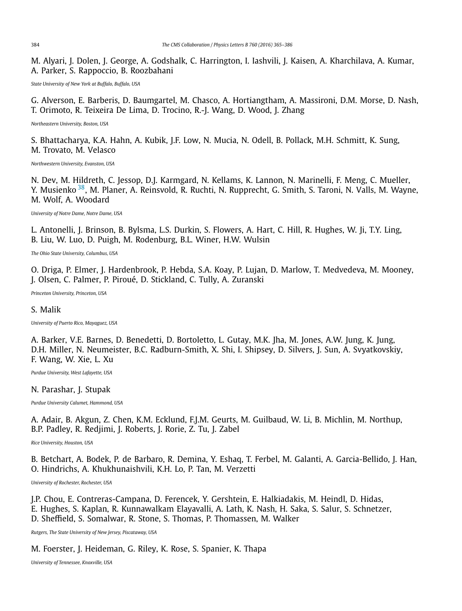M. Alyari, J. Dolen, J. George, A. Godshalk, C. Harrington, I. Iashvili, J. Kaisen, A. Kharchilava, A. Kumar, A. Parker, S. Rappoccio, B. Roozbahani

*State University of New York at Buffalo, Buffalo, USA*

G. Alverson, E. Barberis, D. Baumgartel, M. Chasco, A. Hortiangtham, A. Massironi, D.M. Morse, D. Nash, T. Orimoto, R. Teixeira De Lima, D. Trocino, R.-J. Wang, D. Wood, J. Zhang

*Northeastern University, Boston, USA*

S. Bhattacharya, K.A. Hahn, A. Kubik, J.F. Low, N. Mucia, N. Odell, B. Pollack, M.H. Schmitt, K. Sung, M. Trovato, M. Velasco

*Northwestern University, Evanston, USA*

N. Dev, M. Hildreth, C. Jessop, D.J. Karmgard, N. Kellams, K. Lannon, N. Marinelli, F. Meng, C. Mueller, Y. Musienko [38,](#page-21-0) M. Planer, A. Reinsvold, R. Ruchti, N. Rupprecht, G. Smith, S. Taroni, N. Valls, M. Wayne, M. Wolf, A. Woodard

*University of Notre Dame, Notre Dame, USA*

L. Antonelli, J. Brinson, B. Bylsma, L.S. Durkin, S. Flowers, A. Hart, C. Hill, R. Hughes, W. Ji, T.Y. Ling, B. Liu, W. Luo, D. Puigh, M. Rodenburg, B.L. Winer, H.W. Wulsin

*The Ohio State University, Columbus, USA*

O. Driga, P. Elmer, J. Hardenbrook, P. Hebda, S.A. Koay, P. Lujan, D. Marlow, T. Medvedeva, M. Mooney, J. Olsen, C. Palmer, P. Piroué, D. Stickland, C. Tully, A. Zuranski

*Princeton University, Princeton, USA*

S. Malik

*University of Puerto Rico, Mayaguez, USA*

A. Barker, V.E. Barnes, D. Benedetti, D. Bortoletto, L. Gutay, M.K. Jha, M. Jones, A.W. Jung, K. Jung, D.H. Miller, N. Neumeister, B.C. Radburn-Smith, X. Shi, I. Shipsey, D. Silvers, J. Sun, A. Svyatkovskiy, F. Wang, W. Xie, L. Xu

*Purdue University, West Lafayette, USA*

N. Parashar, J. Stupak

*Purdue University Calumet, Hammond, USA*

A. Adair, B. Akgun, Z. Chen, K.M. Ecklund, F.J.M. Geurts, M. Guilbaud, W. Li, B. Michlin, M. Northup, B.P. Padley, R. Redjimi, J. Roberts, J. Rorie, Z. Tu, J. Zabel

*Rice University, Houston, USA*

B. Betchart, A. Bodek, P. de Barbaro, R. Demina, Y. Eshaq, T. Ferbel, M. Galanti, A. Garcia-Bellido, J. Han, O. Hindrichs, A. Khukhunaishvili, K.H. Lo, P. Tan, M. Verzetti

*University of Rochester, Rochester, USA*

J.P. Chou, E. Contreras-Campana, D. Ferencek, Y. Gershtein, E. Halkiadakis, M. Heindl, D. Hidas, E. Hughes, S. Kaplan, R. Kunnawalkam Elayavalli, A. Lath, K. Nash, H. Saka, S. Salur, S. Schnetzer, D. Sheffield, S. Somalwar, R. Stone, S. Thomas, P. Thomassen, M. Walker

*Rutgers, The State University of New Jersey, Piscataway, USA*

M. Foerster, J. Heideman, G. Riley, K. Rose, S. Spanier, K. Thapa

*University of Tennessee, Knoxville, USA*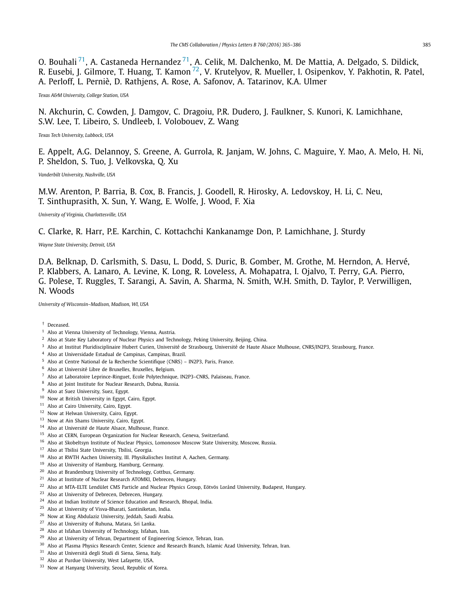<span id="page-20-0"></span>O. Bouhali<sup>[71](#page-21-0)</sup>, A. Castaneda Hernandez<sup>71</sup>, A. Celik, M. Dalchenko, M. De Mattia, A. Delgado, S. Dildick, R. Eusebi, J. Gilmore, T. Huang, T. Kamon [72,](#page-21-0) V. Krutelyov, R. Mueller, I. Osipenkov, Y. Pakhotin, R. Patel, A. Perloff, L. Perniè, D. Rathjens, A. Rose, A. Safonov, A. Tatarinov, K.A. Ulmer

*Texas A&M University, College Station, USA*

N. Akchurin, C. Cowden, J. Damgov, C. Dragoiu, P.R. Dudero, J. Faulkner, S. Kunori, K. Lamichhane, S.W. Lee, T. Libeiro, S. Undleeb, I. Volobouev, Z. Wang

*Texas Tech University, Lubbock, USA*

E. Appelt, A.G. Delannoy, S. Greene, A. Gurrola, R. Janjam, W. Johns, C. Maguire, Y. Mao, A. Melo, H. Ni, P. Sheldon, S. Tuo, J. Velkovska, Q. Xu

*Vanderbilt University, Nashville, USA*

M.W. Arenton, P. Barria, B. Cox, B. Francis, J. Goodell, R. Hirosky, A. Ledovskoy, H. Li, C. Neu, T. Sinthuprasith, X. Sun, Y. Wang, E. Wolfe, J. Wood, F. Xia

*University of Virginia, Charlottesville, USA*

C. Clarke, R. Harr, P.E. Karchin, C. Kottachchi Kankanamge Don, P. Lamichhane, J. Sturdy

*Wayne State University, Detroit, USA*

D.A. Belknap, D. Carlsmith, S. Dasu, L. Dodd, S. Duric, B. Gomber, M. Grothe, M. Herndon, A. Hervé, P. Klabbers, A. Lanaro, A. Levine, K. Long, R. Loveless, A. Mohapatra, I. Ojalvo, T. Perry, G.A. Pierro, G. Polese, T. Ruggles, T. Sarangi, A. Savin, A. Sharma, N. Smith, W.H. Smith, D. Taylor, P. Verwilligen, N. Woods

*University of Wisconsin–Madison, Madison, WI, USA*

† Deceased.

- <sup>1</sup> Also at Vienna University of Technology, Vienna, Austria.
- $2$  Also at State Key Laboratory of Nuclear Physics and Technology, Peking University, Beijing, China.
- <sup>3</sup> Also at Institut Pluridisciplinaire Hubert Curien, Université de Strasbourg, Université de Haute Alsace Mulhouse, CNRS/IN2P3, Strasbourg, France.
- <sup>4</sup> Also at Universidade Estadual de Campinas, Campinas, Brazil.
- <sup>5</sup> Also at Centre National de la Recherche Scientifique (CNRS) IN2P3, Paris, France.
- <sup>6</sup> Also at Université Libre de Bruxelles, Bruxelles, Belgium.
- <sup>7</sup> Also at Laboratoire Leprince-Ringuet, Ecole Polytechnique, IN2P3–CNRS, Palaiseau, France.
- <sup>8</sup> Also at Joint Institute for Nuclear Research, Dubna, Russia.
- <sup>9</sup> Also at Suez University, Suez, Egypt.
- <sup>10</sup> Now at British University in Egypt, Cairo, Egypt.
- 11 Also at Cairo University, Cairo, Egypt.
- <sup>12</sup> Now at Helwan University, Cairo, Egypt.
- <sup>13</sup> Now at Ain Shams University, Cairo, Egypt.
- <sup>14</sup> Also at Université de Haute Alsace, Mulhouse, France.
- <sup>15</sup> Also at CERN, European Organization for Nuclear Research, Geneva, Switzerland.
- <sup>16</sup> Also at Skobeltsyn Institute of Nuclear Physics, Lomonosov Moscow State University, Moscow, Russia.
- <sup>17</sup> Also at Tbilisi State University, Tbilisi, Georgia.
- <sup>18</sup> Also at RWTH Aachen University, III. Physikalisches Institut A, Aachen, Germany.
- <sup>19</sup> Also at University of Hamburg, Hamburg, Germany.
- <sup>20</sup> Also at Brandenburg University of Technology, Cottbus, Germany.
- <sup>21</sup> Also at Institute of Nuclear Research ATOMKI, Debrecen, Hungary.
- <sup>22</sup> Also at MTA-ELTE Lendület CMS Particle and Nuclear Physics Group, Eötvös Loránd University, Budapest, Hungary.
- <sup>23</sup> Also at University of Debrecen, Debrecen, Hungary.
- <sup>24</sup> Also at Indian Institute of Science Education and Research, Bhopal, India.
- <sup>25</sup> Also at University of Visva-Bharati, Santiniketan, India.
- <sup>26</sup> Now at King Abdulaziz University, Jeddah, Saudi Arabia.
- <sup>27</sup> Also at University of Ruhuna, Matara, Sri Lanka.
- <sup>28</sup> Also at Isfahan University of Technology, Isfahan, Iran.
- <sup>29</sup> Also at University of Tehran, Department of Engineering Science, Tehran, Iran.
- <sup>30</sup> Also at Plasma Physics Research Center, Science and Research Branch, Islamic Azad University, Tehran, Iran.
- <sup>31</sup> Also at Università degli Studi di Siena, Siena, Italy.
- <sup>32</sup> Also at Purdue University, West Lafayette, USA.
- <sup>33</sup> Now at Hanyang University, Seoul, Republic of Korea.